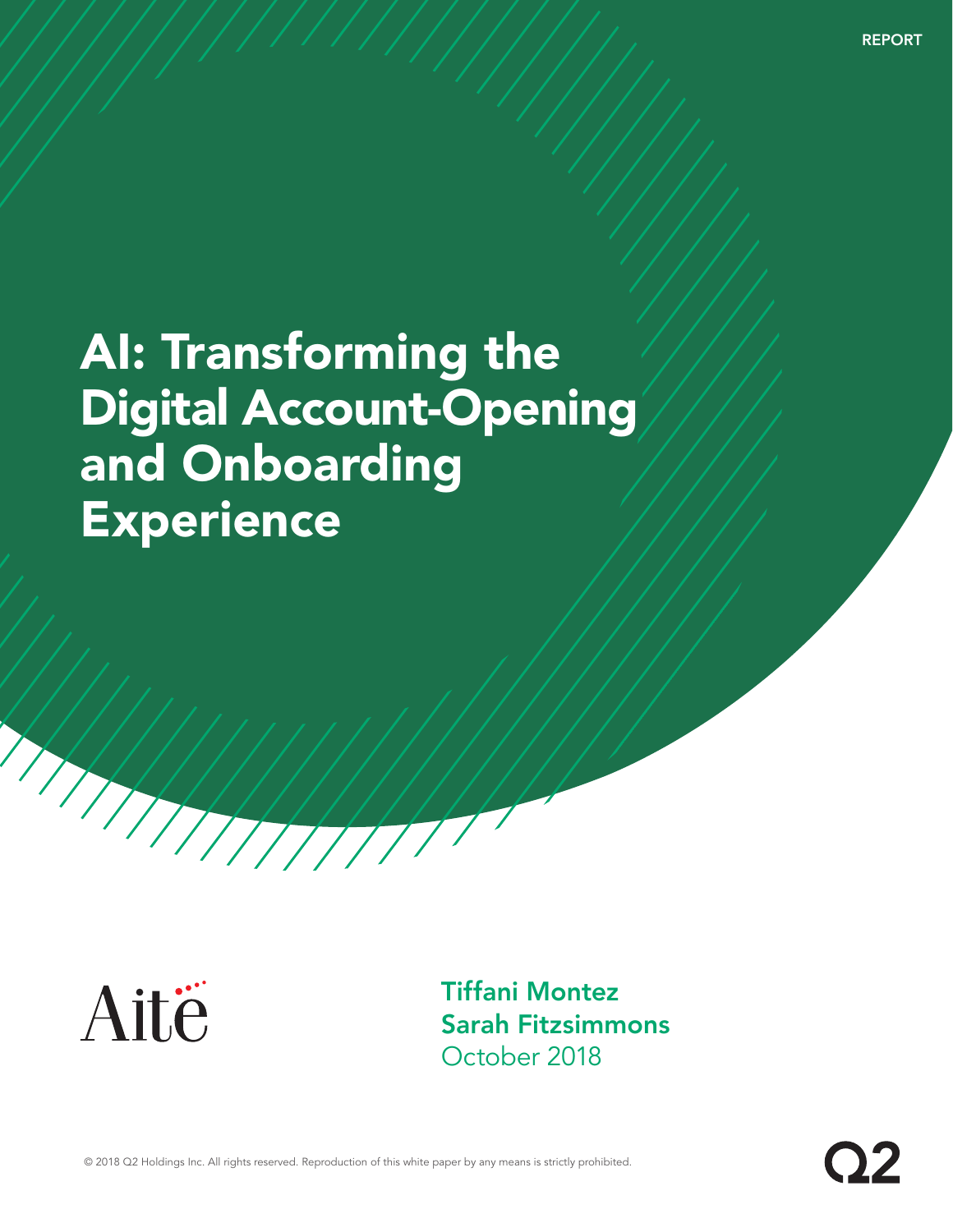**REPORT** 

# AI: Transforming the Digital Account-Opening and Onboarding **Experience**



Tiffani Montez Sarah Fitzsimmons October 2018

© 2018 Q2 Holdings Inc. All rights reserved. Reproduction of this white paper by any means is strictly prohibited.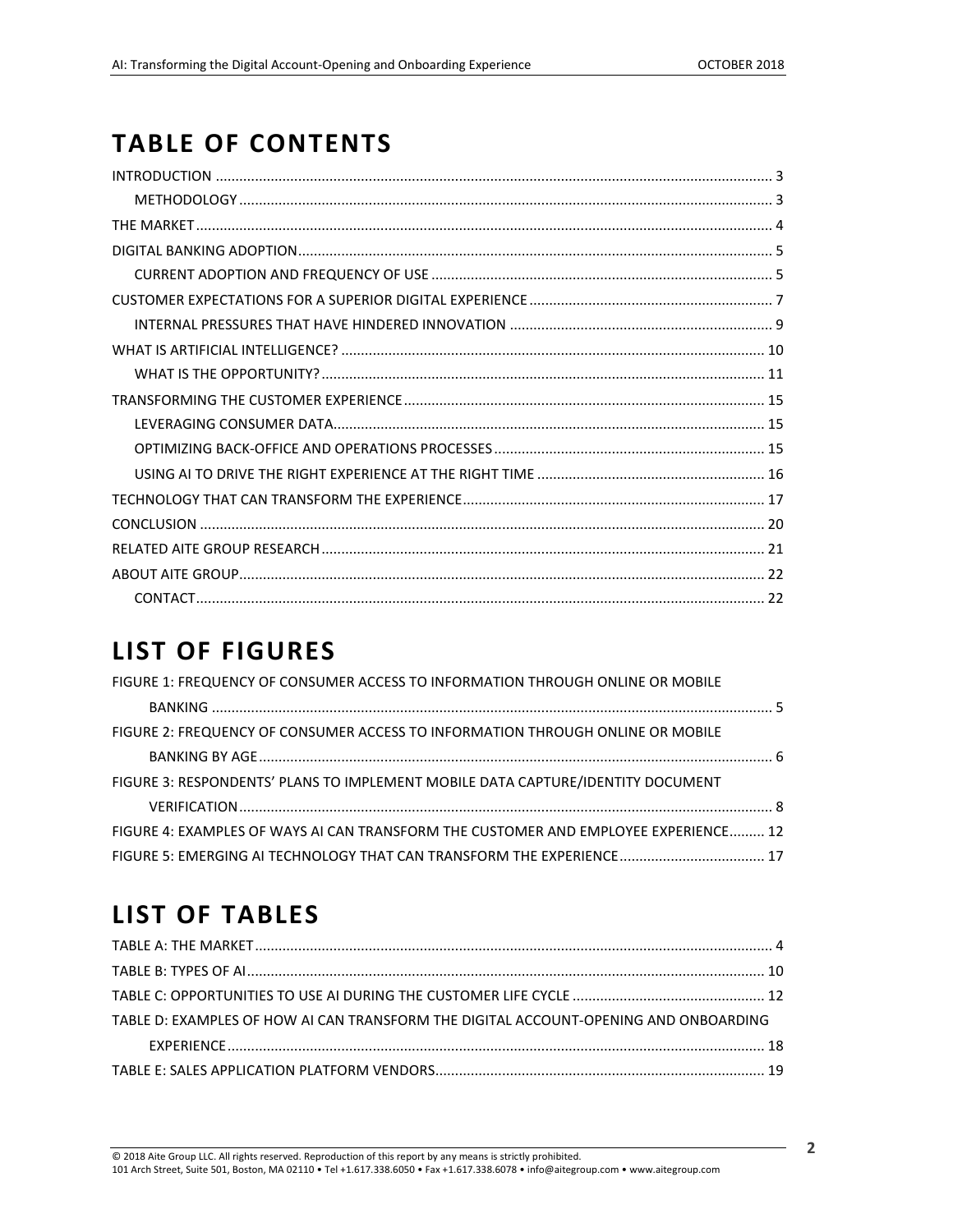# **TABLE OF CONTENTS**

### **LIST OF FIGURES**

| FIGURE 1: FREQUENCY OF CONSUMER ACCESS TO INFORMATION THROUGH ONLINE OR MOBILE      |  |
|-------------------------------------------------------------------------------------|--|
|                                                                                     |  |
| FIGURE 2: FREQUENCY OF CONSUMER ACCESS TO INFORMATION THROUGH ONLINE OR MOBILE      |  |
|                                                                                     |  |
| FIGURE 3: RESPONDENTS' PLANS TO IMPLEMENT MOBILE DATA CAPTURE/IDENTITY DOCUMENT     |  |
|                                                                                     |  |
| FIGURE 4: EXAMPLES OF WAYS AI CAN TRANSFORM THE CUSTOMER AND EMPLOYEE EXPERIENCE 12 |  |
|                                                                                     |  |

# **LIST OF TABLES**

| TABLE D: EXAMPLES OF HOW AI CAN TRANSFORM THE DIGITAL ACCOUNT-OPENING AND ONBOARDING |  |
|--------------------------------------------------------------------------------------|--|
|                                                                                      |  |
|                                                                                      |  |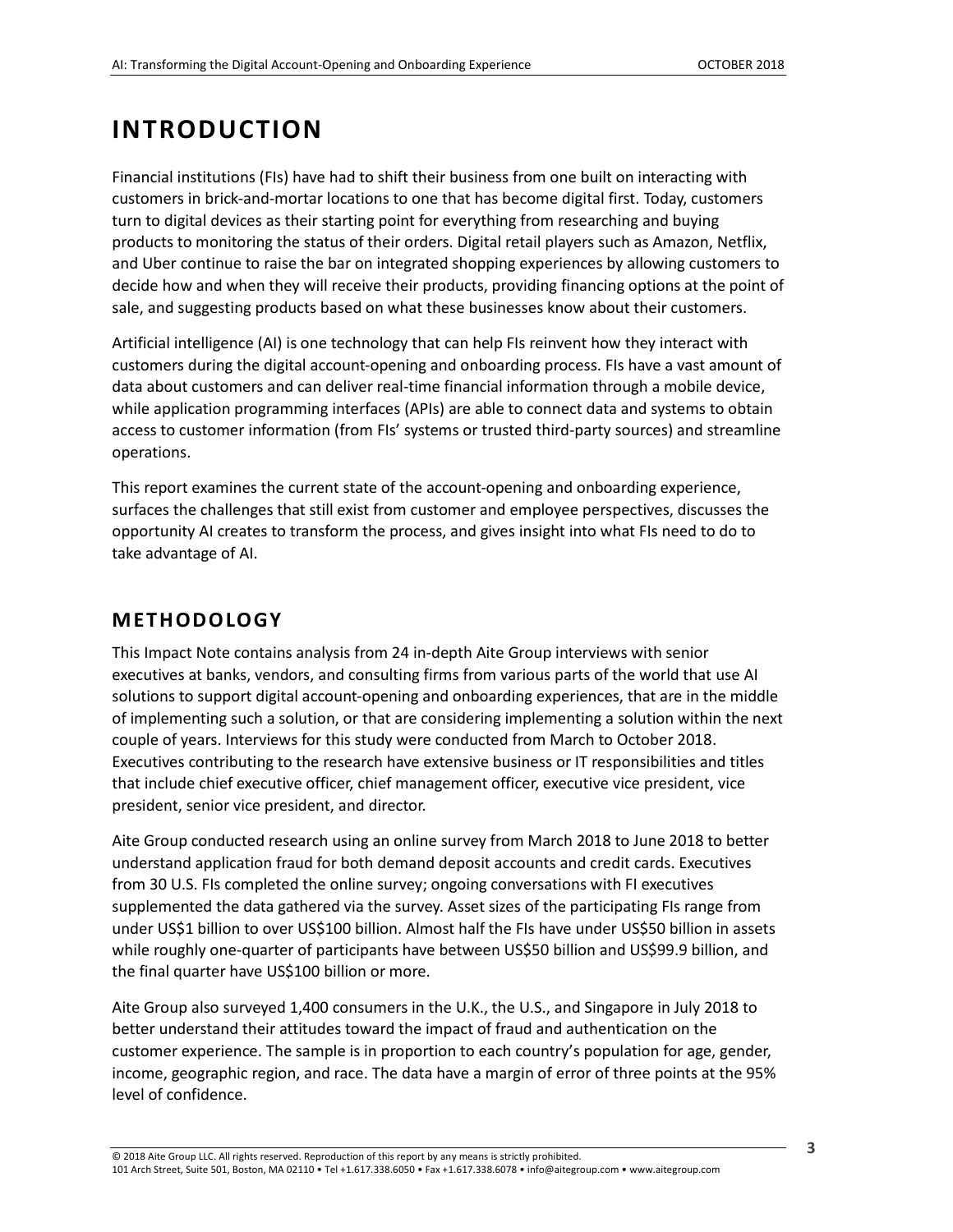## <span id="page-2-0"></span>**INTRODUCTION**

Financial institutions (FIs) have had to shift their business from one built on interacting with customers in brick-and-mortar locations to one that has become digital first. Today, customers turn to digital devices as their starting point for everything from researching and buying products to monitoring the status of their orders. Digital retail players such as Amazon, Netflix, and Uber continue to raise the bar on integrated shopping experiences by allowing customers to decide how and when they will receive their products, providing financing options at the point of sale, and suggesting products based on what these businesses know about their customers.

Artificial intelligence (AI) is one technology that can help FIs reinvent how they interact with customers during the digital account-opening and onboarding process. FIs have a vast amount of data about customers and can deliver real-time financial information through a mobile device, while application programming interfaces (APIs) are able to connect data and systems to obtain access to customer information (from FIs' systems or trusted third-party sources) and streamline operations.

This report examines the current state of the account-opening and onboarding experience, surfaces the challenges that still exist from customer and employee perspectives, discusses the opportunity AI creates to transform the process, and gives insight into what FIs need to do to take advantage of AI.

### <span id="page-2-1"></span>**METHODOLOGY**

This Impact Note contains analysis from 24 in-depth Aite Group interviews with senior executives at banks, vendors, and consulting firms from various parts of the world that use AI solutions to support digital account-opening and onboarding experiences, that are in the middle of implementing such a solution, or that are considering implementing a solution within the next couple of years. Interviews for this study were conducted from March to October 2018. Executives contributing to the research have extensive business or IT responsibilities and titles that include chief executive officer, chief management officer, executive vice president, vice president, senior vice president, and director.

Aite Group conducted research using an online survey from March 2018 to June 2018 to better understand application fraud for both demand deposit accounts and credit cards. Executives from 30 U.S. FIs completed the online survey; ongoing conversations with FI executives supplemented the data gathered via the survey. Asset sizes of the participating FIs range from under US\$1 billion to over US\$100 billion. Almost half the FIs have under US\$50 billion in assets while roughly one-quarter of participants have between US\$50 billion and US\$99.9 billion, and the final quarter have US\$100 billion or more.

Aite Group also surveyed 1,400 consumers in the U.K., the U.S., and Singapore in July 2018 to better understand their attitudes toward the impact of fraud and authentication on the customer experience. The sample is in proportion to each country's population for age, gender, income, geographic region, and race. The data have a margin of error of three points at the 95% level of confidence.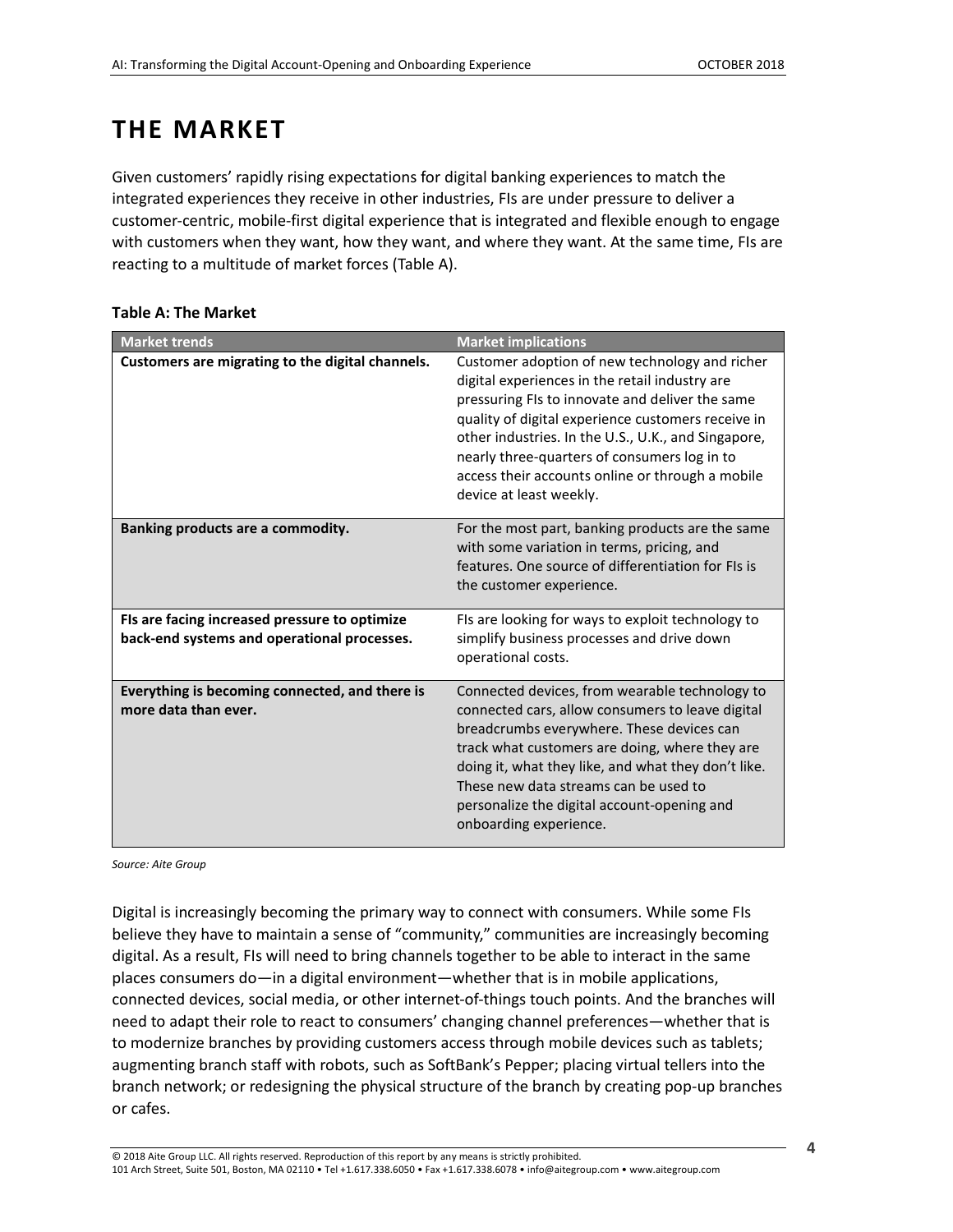# <span id="page-3-0"></span>**THE MARKET**

Given customers' rapidly rising expectations for digital banking experiences to match the integrated experiences they receive in other industries, FIs are under pressure to deliver a customer-centric, mobile-first digital experience that is integrated and flexible enough to engage with customers when they want, how they want, and where they want. At the same time, FIs are reacting to a multitude of market forces (Table A).

| <b>Market trends</b>                                                                         | <b>Market implications</b>                                                                                                                                                                                                                                                                                                                                                                      |
|----------------------------------------------------------------------------------------------|-------------------------------------------------------------------------------------------------------------------------------------------------------------------------------------------------------------------------------------------------------------------------------------------------------------------------------------------------------------------------------------------------|
| Customers are migrating to the digital channels.                                             | Customer adoption of new technology and richer<br>digital experiences in the retail industry are<br>pressuring FIs to innovate and deliver the same<br>quality of digital experience customers receive in<br>other industries. In the U.S., U.K., and Singapore,<br>nearly three-quarters of consumers log in to<br>access their accounts online or through a mobile<br>device at least weekly. |
| Banking products are a commodity.                                                            | For the most part, banking products are the same<br>with some variation in terms, pricing, and<br>features. One source of differentiation for FIs is<br>the customer experience.                                                                                                                                                                                                                |
| FIs are facing increased pressure to optimize<br>back-end systems and operational processes. | FIs are looking for ways to exploit technology to<br>simplify business processes and drive down<br>operational costs.                                                                                                                                                                                                                                                                           |
| Everything is becoming connected, and there is<br>more data than ever.                       | Connected devices, from wearable technology to<br>connected cars, allow consumers to leave digital<br>breadcrumbs everywhere. These devices can<br>track what customers are doing, where they are<br>doing it, what they like, and what they don't like.<br>These new data streams can be used to<br>personalize the digital account-opening and<br>onboarding experience.                      |

#### <span id="page-3-1"></span>**Table A: The Market**

*Source: Aite Group*

Digital is increasingly becoming the primary way to connect with consumers. While some FIs believe they have to maintain a sense of "community," communities are increasingly becoming digital. As a result, FIs will need to bring channels together to be able to interact in the same places consumers do—in a digital environment—whether that is in mobile applications, connected devices, social media, or other internet-of-things touch points. And the branches will need to adapt their role to react to consumers' changing channel preferences—whether that is to modernize branches by providing customers access through mobile devices such as tablets; augmenting branch staff with robots, such as SoftBank's Pepper; placing virtual tellers into the branch network; or redesigning the physical structure of the branch by creating pop-up branches or cafes.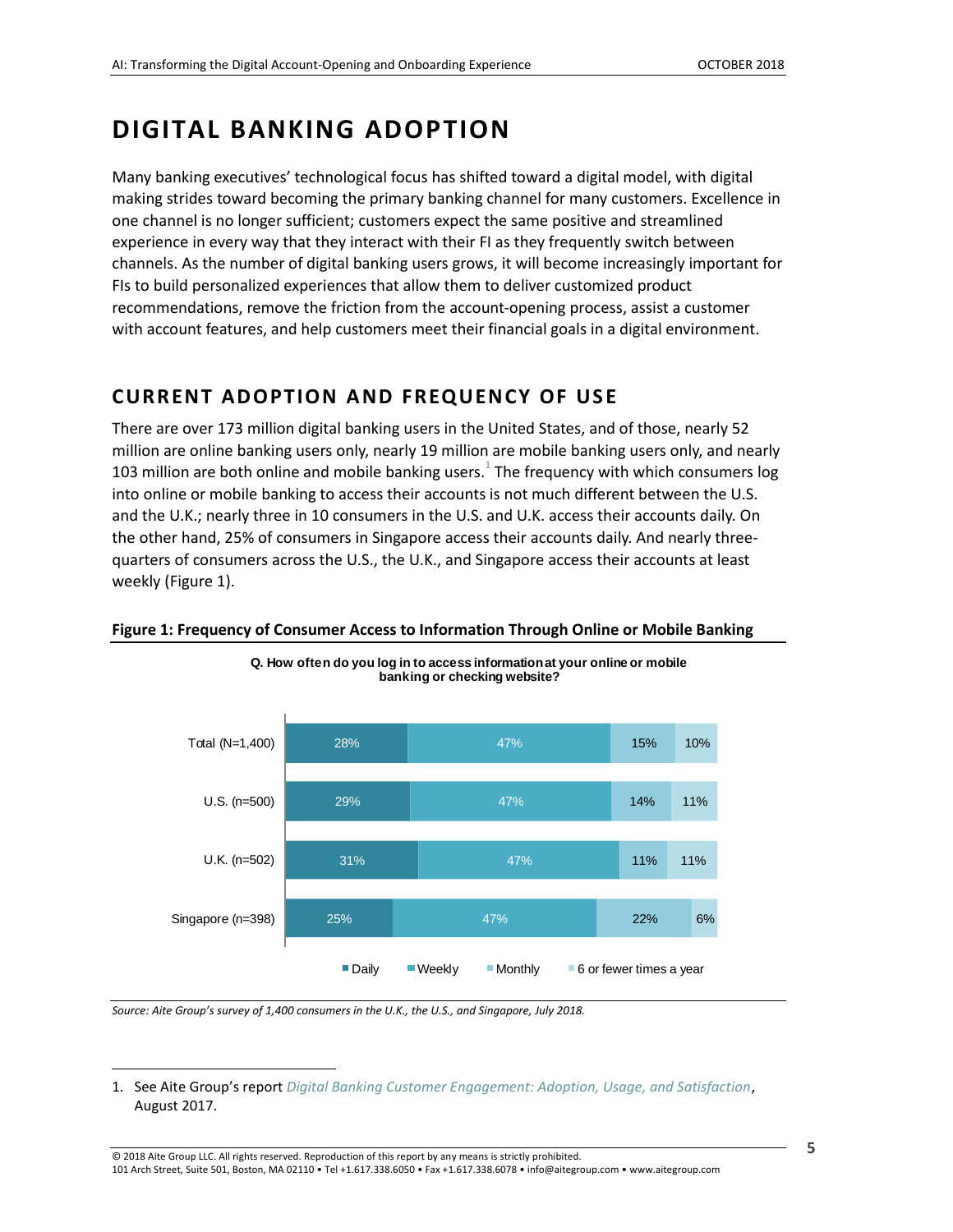### <span id="page-4-0"></span>**DIGITAL BANKING ADOPTION**

Many banking executives' technological focus has shifted toward a digital model, with digital making strides toward becoming the primary banking channel for many customers. Excellence in one channel is no longer sufficient; customers expect the same positive and streamlined experience in every way that they interact with their FI as they frequently switch between channels. As the number of digital banking users grows, it will become increasingly important for FIs to build personalized experiences that allow them to deliver customized product recommendations, remove the friction from the account-opening process, assist a customer with account features, and help customers meet their financial goals in a digital environment.

### <span id="page-4-1"></span>**CURRENT ADOPTION AND FREQUENCY OF USE**

There are over 173 million digital banking users in the United States, and of those, nearly 52 million are online banking users only, nearly 19 million are mobile banking users only, and nearly 103 million are both online and mobile banking users. $^1$  The frequency with which consumers log into online or mobile banking to access their accounts is not much different between the U.S. and the U.K.; nearly three in 10 consumers in the U.S. and U.K. access their accounts daily. On the other hand, 25% of consumers in Singapore access their accounts daily. And nearly threequarters of consumers across the U.S., the U.K., and Singapore access their accounts at least weekly (Figure 1).



#### <span id="page-4-2"></span>**Figure 1: Frequency of Consumer Access to Information Through Online or Mobile Banking**

**Q. How often do you log in to access information at your online or mobile** 

*Source: Aite Group's survey of 1,400 consumers in the U.K., the U.S., and Singapore, July 2018.*

 $\overline{a}$ 

<sup>1.</sup> See Aite Group's report *[Digital Banking Customer Engagement: Adoption, Usage, and Satisfaction](https://www.aitegroup.com/report/digital-banking-customer-engagement-adoption-usage-and-satisfaction)*, August 2017.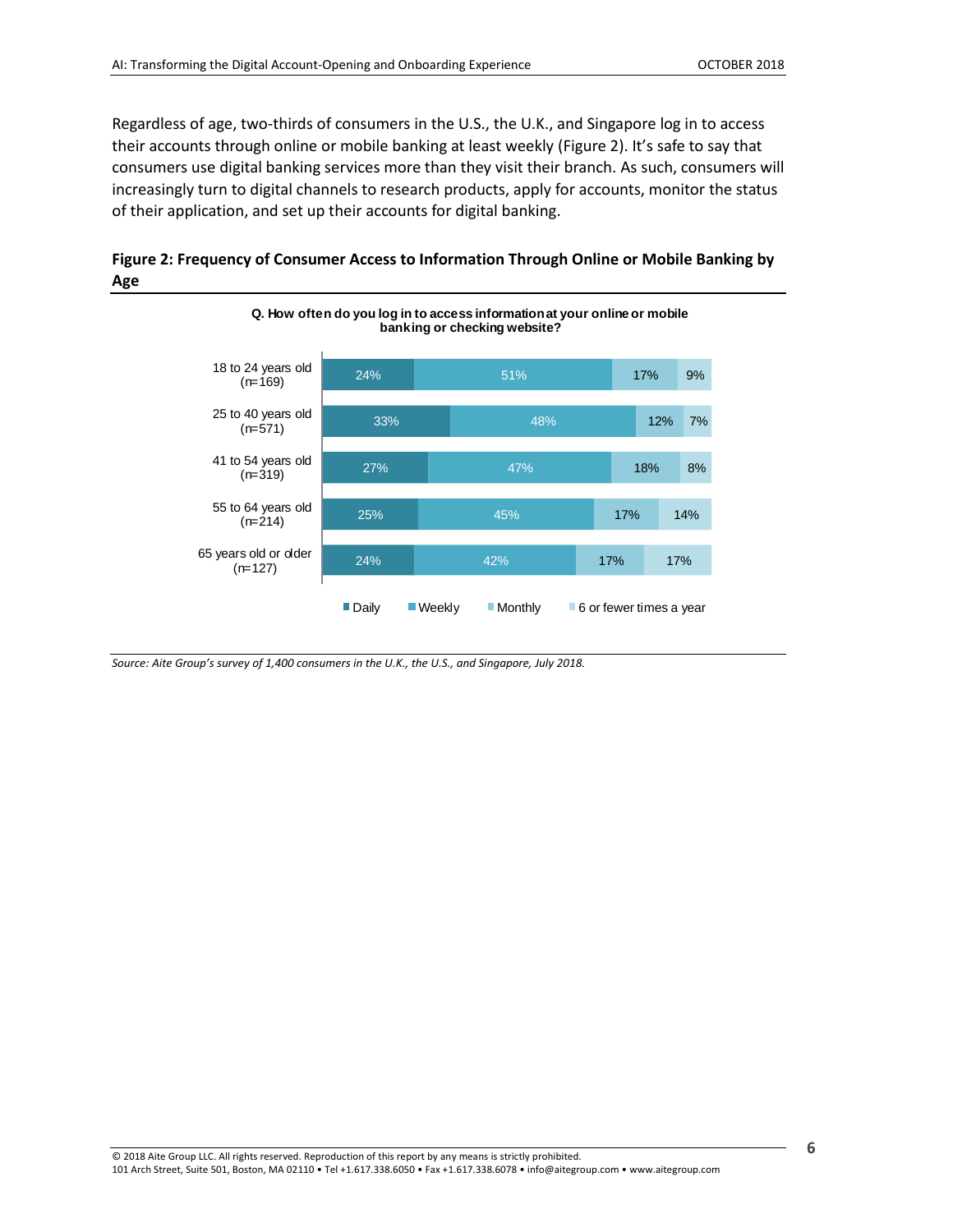Regardless of age, two-thirds of consumers in the U.S., the U.K., and Singapore log in to access their accounts through online or mobile banking at least weekly (Figure 2). It's safe to say that consumers use digital banking services more than they visit their branch. As such, consumers will increasingly turn to digital channels to research products, apply for accounts, monitor the status of their application, and set up their accounts for digital banking.

<span id="page-5-0"></span>



*Source: Aite Group's survey of 1,400 consumers in the U.K., the U.S., and Singapore, July 2018.*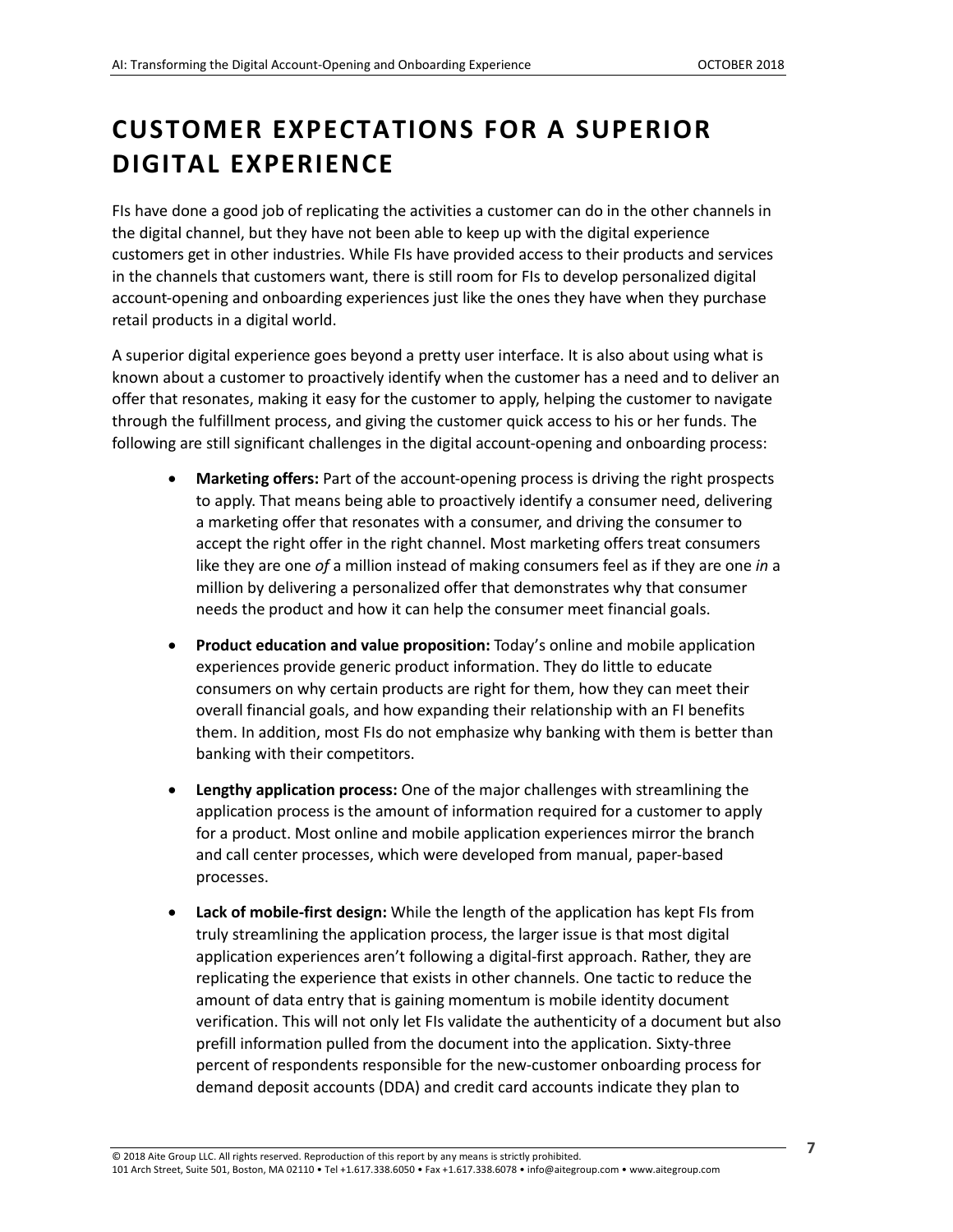# <span id="page-6-0"></span>**CUSTOMER EXPECTATIONS FOR A SUPERIOR DIGITAL EXPERIENCE**

FIs have done a good job of replicating the activities a customer can do in the other channels in the digital channel, but they have not been able to keep up with the digital experience customers get in other industries. While FIs have provided access to their products and services in the channels that customers want, there is still room for FIs to develop personalized digital account-opening and onboarding experiences just like the ones they have when they purchase retail products in a digital world.

A superior digital experience goes beyond a pretty user interface. It is also about using what is known about a customer to proactively identify when the customer has a need and to deliver an offer that resonates, making it easy for the customer to apply, helping the customer to navigate through the fulfillment process, and giving the customer quick access to his or her funds. The following are still significant challenges in the digital account-opening and onboarding process:

- **Marketing offers:** Part of the account-opening process is driving the right prospects to apply. That means being able to proactively identify a consumer need, delivering a marketing offer that resonates with a consumer, and driving the consumer to accept the right offer in the right channel. Most marketing offers treat consumers like they are one *of* a million instead of making consumers feel as if they are one *in* a million by delivering a personalized offer that demonstrates why that consumer needs the product and how it can help the consumer meet financial goals.
- **Product education and value proposition:** Today's online and mobile application experiences provide generic product information. They do little to educate consumers on why certain products are right for them, how they can meet their overall financial goals, and how expanding their relationship with an FI benefits them. In addition, most FIs do not emphasize why banking with them is better than banking with their competitors.
- **Lengthy application process:** One of the major challenges with streamlining the application process is the amount of information required for a customer to apply for a product. Most online and mobile application experiences mirror the branch and call center processes, which were developed from manual, paper-based processes.
- **Lack of mobile-first design:** While the length of the application has kept FIs from truly streamlining the application process, the larger issue is that most digital application experiences aren't following a digital-first approach. Rather, they are replicating the experience that exists in other channels. One tactic to reduce the amount of data entry that is gaining momentum is mobile identity document verification. This will not only let FIs validate the authenticity of a document but also prefill information pulled from the document into the application. Sixty-three percent of respondents responsible for the new-customer onboarding process for demand deposit accounts (DDA) and credit card accounts indicate they plan to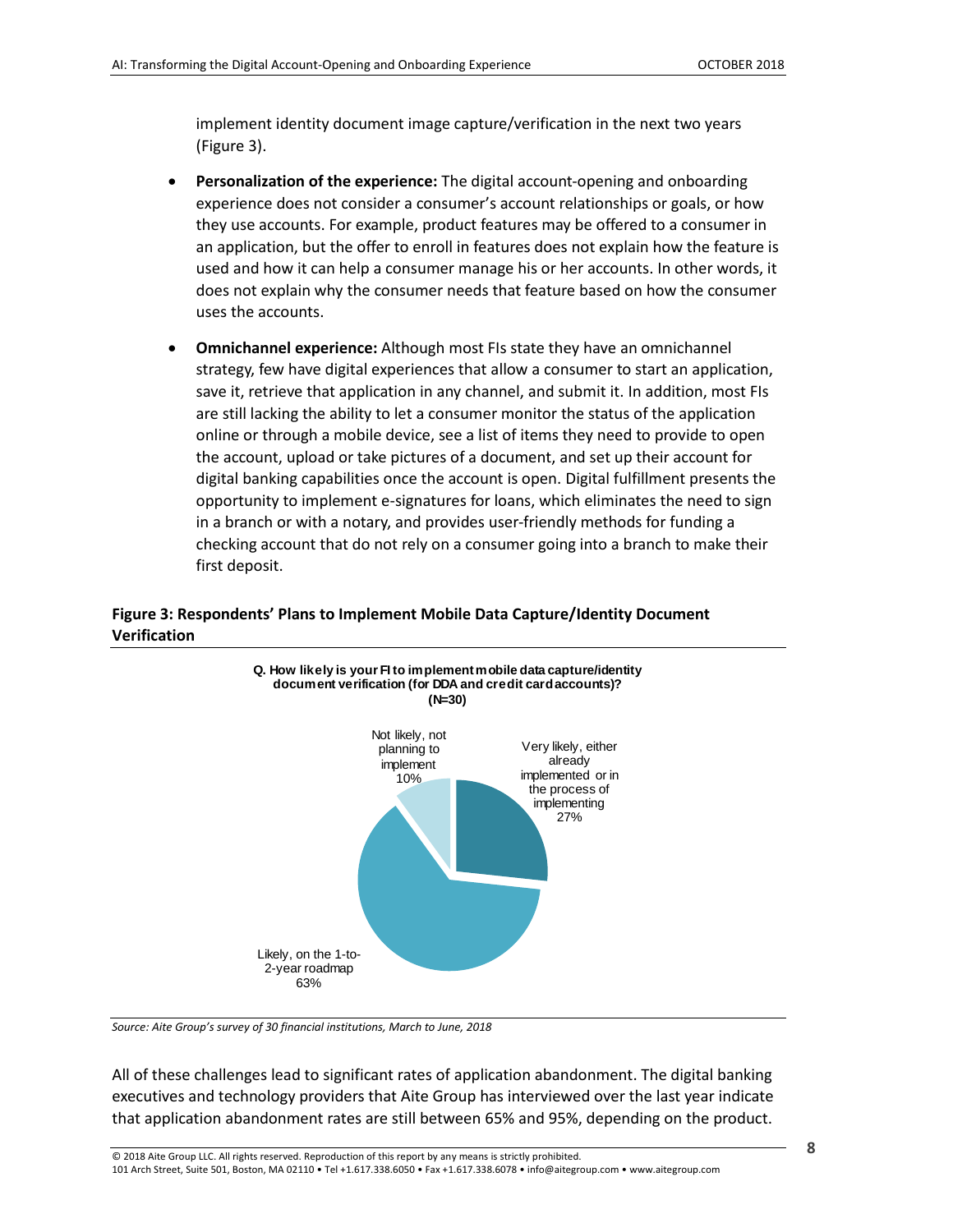implement identity document image capture/verification in the next two years (Figure 3).

- **Personalization of the experience:** The digital account-opening and onboarding experience does not consider a consumer's account relationships or goals, or how they use accounts. For example, product features may be offered to a consumer in an application, but the offer to enroll in features does not explain how the feature is used and how it can help a consumer manage his or her accounts. In other words, it does not explain why the consumer needs that feature based on how the consumer uses the accounts.
- **Omnichannel experience:** Although most FIs state they have an omnichannel strategy, few have digital experiences that allow a consumer to start an application, save it, retrieve that application in any channel, and submit it. In addition, most FIs are still lacking the ability to let a consumer monitor the status of the application online or through a mobile device, see a list of items they need to provide to open the account, upload or take pictures of a document, and set up their account for digital banking capabilities once the account is open. Digital fulfillment presents the opportunity to implement e-signatures for loans, which eliminates the need to sign in a branch or with a notary, and provides user-friendly methods for funding a checking account that do not rely on a consumer going into a branch to make their first deposit.

#### <span id="page-7-0"></span>**Figure 3: Respondents' Plans to Implement Mobile Data Capture/Identity Document Verification**



*Source: Aite Group's survey of 30 financial institutions, March to June, 2018*

All of these challenges lead to significant rates of application abandonment. The digital banking executives and technology providers that Aite Group has interviewed over the last year indicate that application abandonment rates are still between 65% and 95%, depending on the product.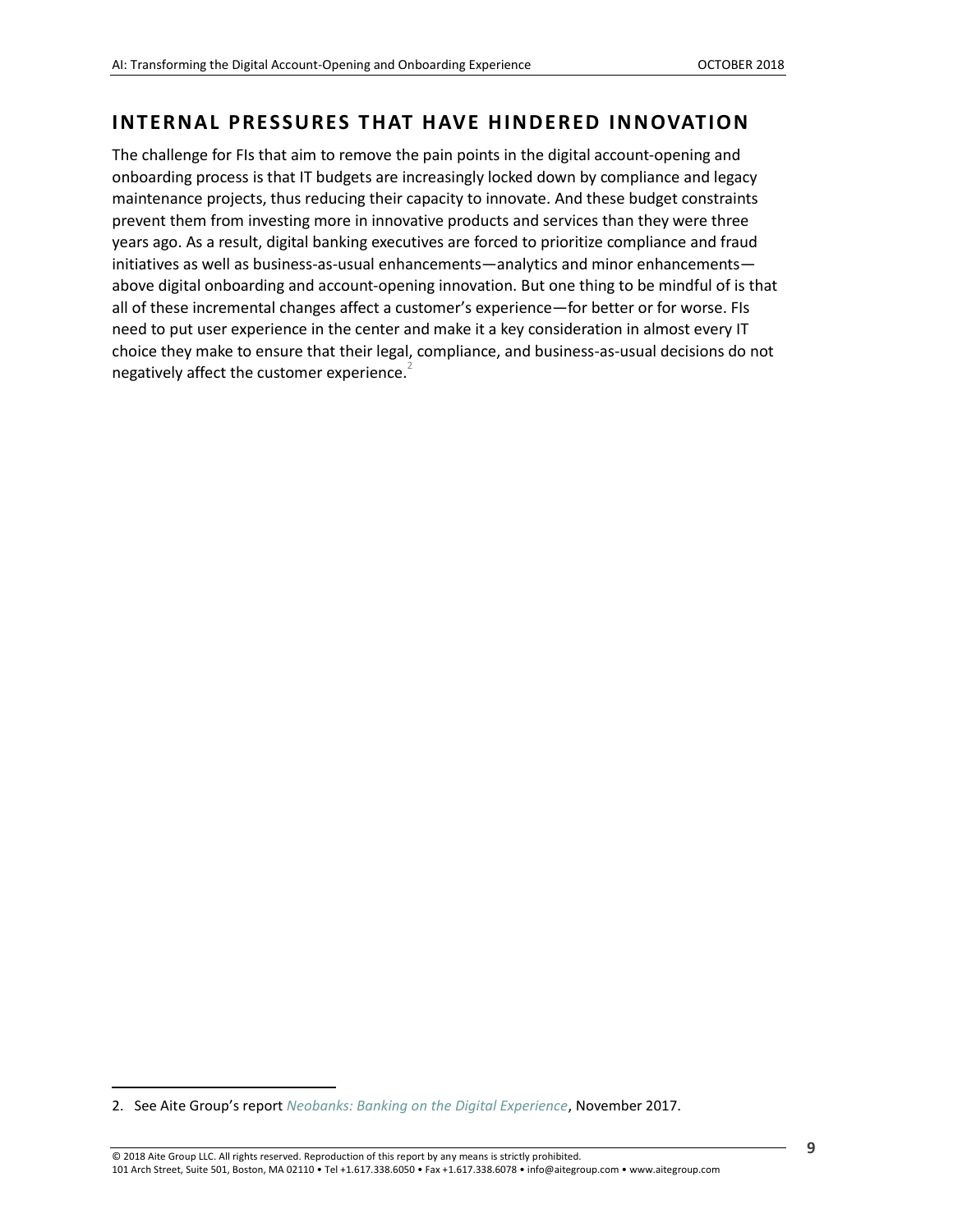### <span id="page-8-0"></span>**INTERNAL PRESSURES THAT HAVE HINDERED INNOVATION**

The challenge for FIs that aim to remove the pain points in the digital account-opening and onboarding process is that IT budgets are increasingly locked down by compliance and legacy maintenance projects, thus reducing their capacity to innovate. And these budget constraints prevent them from investing more in innovative products and services than they were three years ago. As a result, digital banking executives are forced to prioritize compliance and fraud initiatives as well as business-as-usual enhancements—analytics and minor enhancements above digital onboarding and account-opening innovation. But one thing to be mindful of is that all of these incremental changes affect a customer's experience—for better or for worse. FIs need to put user experience in the center and make it a key consideration in almost every IT choice they make to ensure that their legal, compliance, and business-as-usual decisions do not negatively affect the customer experience.<sup>2</sup>

 $\overline{a}$ 

<sup>2.</sup> See Aite Group's report *[Neobanks: Banking on the Digital Experience](https://www.aitegroup.com/report/neobanks-banking-digital-experience)*, November 2017.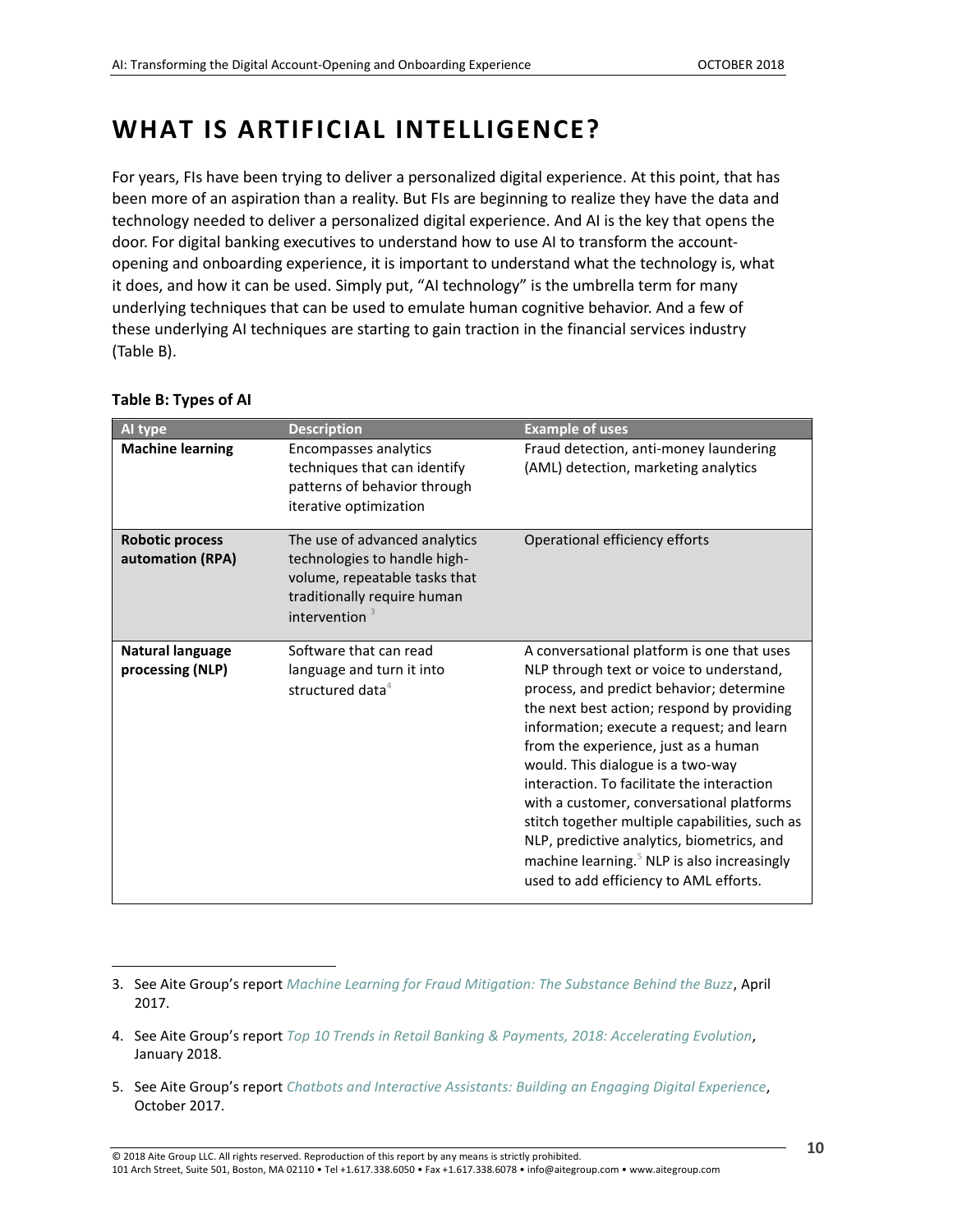# <span id="page-9-0"></span>**WHAT IS ARTIFICIAL INTELLIGENCE?**

For years, FIs have been trying to deliver a personalized digital experience. At this point, that has been more of an aspiration than a reality. But FIs are beginning to realize they have the data and technology needed to deliver a personalized digital experience. And AI is the key that opens the door. For digital banking executives to understand how to use AI to transform the accountopening and onboarding experience, it is important to understand what the technology is, what it does, and how it can be used. Simply put, "AI technology" is the umbrella term for many underlying techniques that can be used to emulate human cognitive behavior. And a few of these underlying AI techniques are starting to gain traction in the financial services industry (Table B).

| <b>Al type</b>                              | <b>Description</b>                                                                                                                                | <b>Example of uses</b>                                                                                                                                                                                                                                                                                                                                                                                                                                                                                                                                                                                     |
|---------------------------------------------|---------------------------------------------------------------------------------------------------------------------------------------------------|------------------------------------------------------------------------------------------------------------------------------------------------------------------------------------------------------------------------------------------------------------------------------------------------------------------------------------------------------------------------------------------------------------------------------------------------------------------------------------------------------------------------------------------------------------------------------------------------------------|
| <b>Machine learning</b>                     | Encompasses analytics<br>techniques that can identify<br>patterns of behavior through<br>iterative optimization                                   | Fraud detection, anti-money laundering<br>(AML) detection, marketing analytics                                                                                                                                                                                                                                                                                                                                                                                                                                                                                                                             |
| <b>Robotic process</b><br>automation (RPA)  | The use of advanced analytics<br>technologies to handle high-<br>volume, repeatable tasks that<br>traditionally require human<br>intervention $3$ | Operational efficiency efforts                                                                                                                                                                                                                                                                                                                                                                                                                                                                                                                                                                             |
| <b>Natural language</b><br>processing (NLP) | Software that can read<br>language and turn it into<br>structured data <sup>4</sup>                                                               | A conversational platform is one that uses<br>NLP through text or voice to understand,<br>process, and predict behavior; determine<br>the next best action; respond by providing<br>information; execute a request; and learn<br>from the experience, just as a human<br>would. This dialogue is a two-way<br>interaction. To facilitate the interaction<br>with a customer, conversational platforms<br>stitch together multiple capabilities, such as<br>NLP, predictive analytics, biometrics, and<br>machine learning. <sup>5</sup> NLP is also increasingly<br>used to add efficiency to AML efforts. |

#### <span id="page-9-1"></span>**Table B: Types of AI**

 $\overline{a}$ 

- 4. See Aite Group's report *Top 10 Trends in Retail Banking [& Payments, 2018: Accelerating Evolution](https://www.aitegroup.com/report/top-10-trends-retail-banking-payments-2018-accelerating-evolution)*, January 2018.
- 5. See Aite Group's report *[Chatbots and Interactive Assistants: Building an Engaging Digital Experience](https://www.aitegroup.com/report/chatbots-and-interactive-assistants-building-engaging-digital-experience)*, October 2017.

<sup>3.</sup> See Aite Group's report *[Machine Learning for Fraud Mitigation: The Substance Behind the Buzz](http://www.aitegroup.com/report/machine-learning-fraud-mitigation-substance-behind-buzz)*, April 2017.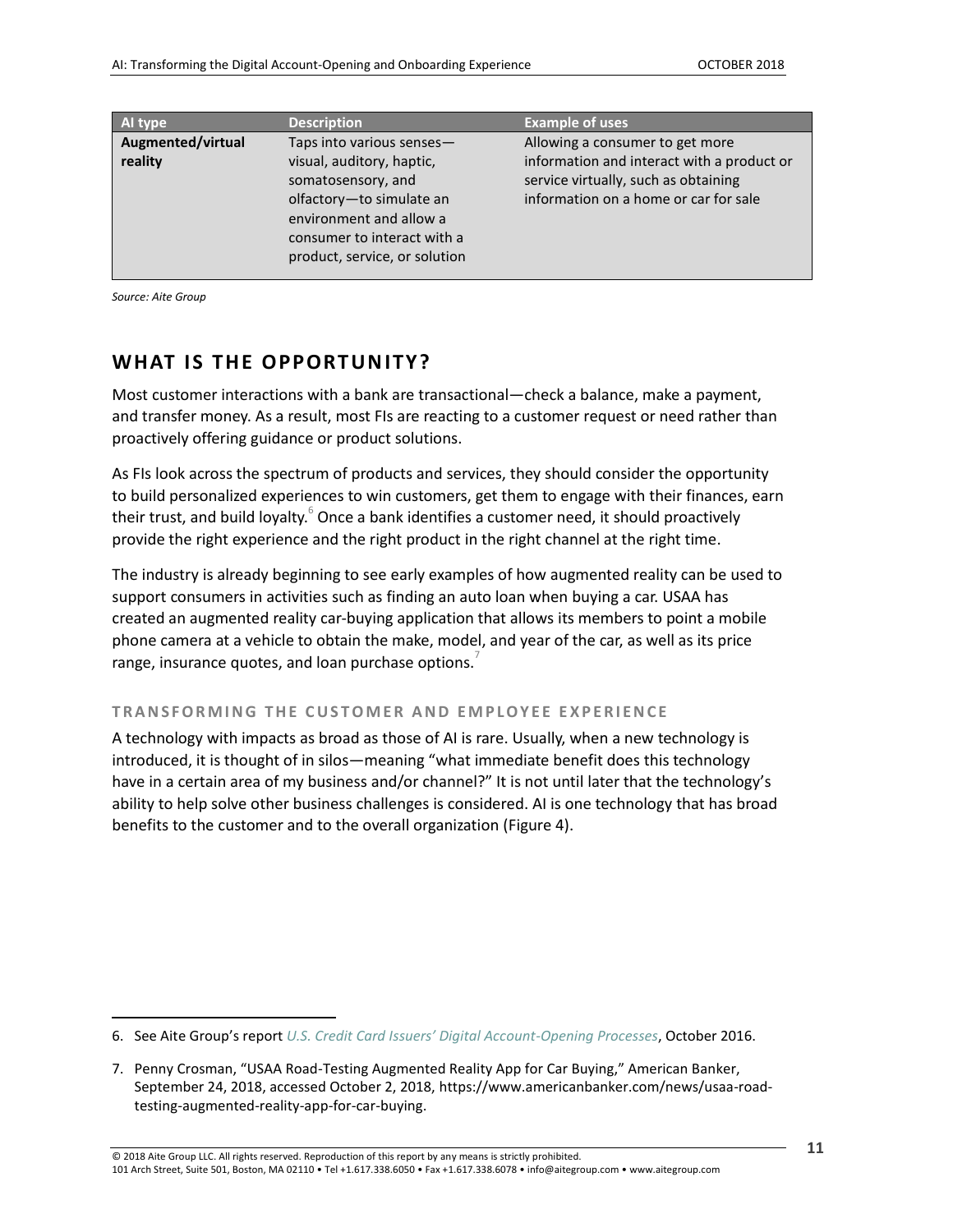| Al type                      | <b>Description</b>                                                                                                                                                                                  | <b>Example of uses</b>                                                                                                                                         |
|------------------------------|-----------------------------------------------------------------------------------------------------------------------------------------------------------------------------------------------------|----------------------------------------------------------------------------------------------------------------------------------------------------------------|
| Augmented/virtual<br>reality | Taps into various senses-<br>visual, auditory, haptic,<br>somatosensory, and<br>olfactory-to simulate an<br>environment and allow a<br>consumer to interact with a<br>product, service, or solution | Allowing a consumer to get more<br>information and interact with a product or<br>service virtually, such as obtaining<br>information on a home or car for sale |

*Source: Aite Group*

 $\overline{a}$ 

### <span id="page-10-0"></span>**WHAT IS THE OPPORTUNITY?**

Most customer interactions with a bank are transactional—check a balance, make a payment, and transfer money. As a result, most FIs are reacting to a customer request or need rather than proactively offering guidance or product solutions.

As FIs look across the spectrum of products and services, they should consider the opportunity to build personalized experiences to win customers, get them to engage with their finances, earn their trust, and build loyalty. $^6$  Once a bank identifies a customer need, it should proactively provide the right experience and the right product in the right channel at the right time.

The industry is already beginning to see early examples of how augmented reality can be used to support consumers in activities such as finding an auto loan when buying a car. USAA has created an augmented reality car-buying application that allows its members to point a mobile phone camera at a vehicle to obtain the make, model, and year of the car, as well as its price range, insurance quotes, and loan purchase options.

#### **T R A N S F O R M I N G T H E C U S T O M E R A N D E M P L O Y E E E X P E R I E N C E**

A technology with impacts as broad as those of AI is rare. Usually, when a new technology is introduced, it is thought of in silos—meaning "what immediate benefit does this technology have in a certain area of my business and/or channel?" It is not until later that the technology's ability to help solve other business challenges is considered. AI is one technology that has broad benefits to the customer and to the overall organization (Figure 4).

<sup>6.</sup> See Aite Group's report *[U.S. Credit Card Issuers' Digital Account](https://aitegroup.com/report/us-credit-card-issuers’-digital-account-opening-processes)-Opening Processes*, October 2016.

<sup>7.</sup> Penny Crosman, "USAA Road-Testing Augmented Reality App for Car Buying," American Banker, September 24, 2018, accessed October 2, 2018, https://www.americanbanker.com/news/usaa-roadtesting-augmented-reality-app-for-car-buying.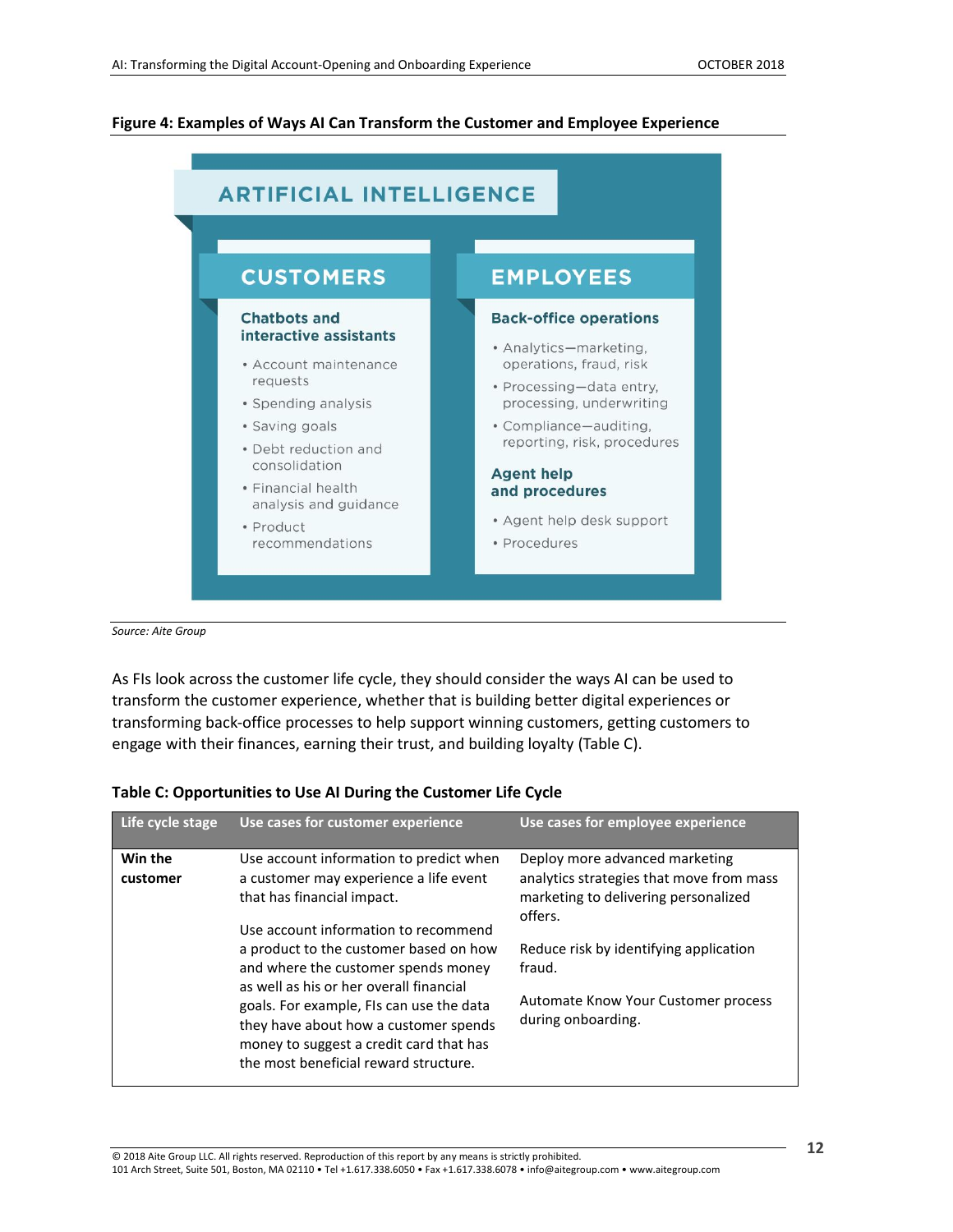#### <span id="page-11-0"></span>**Figure 4: Examples of Ways AI Can Transform the Customer and Employee Experience**



*Source: Aite Group*

As FIs look across the customer life cycle, they should consider the ways AI can be used to transform the customer experience, whether that is building better digital experiences or transforming back-office processes to help support winning customers, getting customers to engage with their finances, earning their trust, and building loyalty (Table C).

| Life cycle stage    | Use cases for customer experience                                                                                                                                                                                                                                                                                                                                                                                                                            | Use cases for employee experience                                                                                                                                                                                                              |
|---------------------|--------------------------------------------------------------------------------------------------------------------------------------------------------------------------------------------------------------------------------------------------------------------------------------------------------------------------------------------------------------------------------------------------------------------------------------------------------------|------------------------------------------------------------------------------------------------------------------------------------------------------------------------------------------------------------------------------------------------|
| Win the<br>customer | Use account information to predict when<br>a customer may experience a life event<br>that has financial impact.<br>Use account information to recommend<br>a product to the customer based on how<br>and where the customer spends money<br>as well as his or her overall financial<br>goals. For example, FIs can use the data<br>they have about how a customer spends<br>money to suggest a credit card that has<br>the most beneficial reward structure. | Deploy more advanced marketing<br>analytics strategies that move from mass<br>marketing to delivering personalized<br>offers.<br>Reduce risk by identifying application<br>fraud.<br>Automate Know Your Customer process<br>during onboarding. |
|                     |                                                                                                                                                                                                                                                                                                                                                                                                                                                              |                                                                                                                                                                                                                                                |

#### <span id="page-11-1"></span>**Table C: Opportunities to Use AI During the Customer Life Cycle**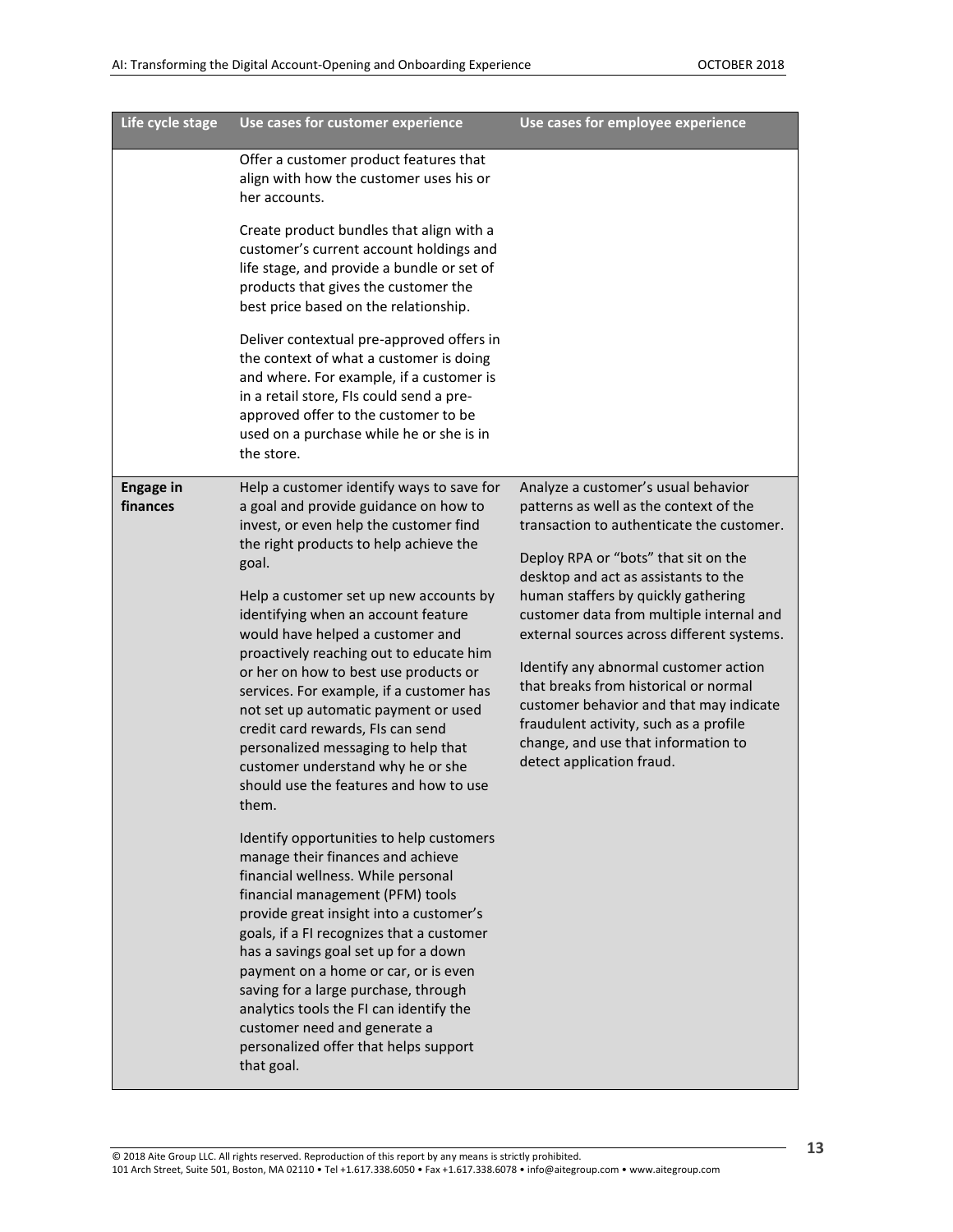| Life cycle stage             | Use cases for customer experience                                                                                                                                                                                                                                                                                                                                                                                                                                                                                                                                                                                                                                                                                                                                                                                                                                                                                                                                                                                                                                                                                                               | Use cases for employee experience                                                                                                                                                                                                                                                                                                                                                                                                                                                                                                                                                      |
|------------------------------|-------------------------------------------------------------------------------------------------------------------------------------------------------------------------------------------------------------------------------------------------------------------------------------------------------------------------------------------------------------------------------------------------------------------------------------------------------------------------------------------------------------------------------------------------------------------------------------------------------------------------------------------------------------------------------------------------------------------------------------------------------------------------------------------------------------------------------------------------------------------------------------------------------------------------------------------------------------------------------------------------------------------------------------------------------------------------------------------------------------------------------------------------|----------------------------------------------------------------------------------------------------------------------------------------------------------------------------------------------------------------------------------------------------------------------------------------------------------------------------------------------------------------------------------------------------------------------------------------------------------------------------------------------------------------------------------------------------------------------------------------|
|                              | Offer a customer product features that<br>align with how the customer uses his or<br>her accounts.<br>Create product bundles that align with a<br>customer's current account holdings and<br>life stage, and provide a bundle or set of<br>products that gives the customer the<br>best price based on the relationship.<br>Deliver contextual pre-approved offers in<br>the context of what a customer is doing                                                                                                                                                                                                                                                                                                                                                                                                                                                                                                                                                                                                                                                                                                                                |                                                                                                                                                                                                                                                                                                                                                                                                                                                                                                                                                                                        |
|                              | and where. For example, if a customer is<br>in a retail store, FIs could send a pre-<br>approved offer to the customer to be<br>used on a purchase while he or she is in<br>the store.                                                                                                                                                                                                                                                                                                                                                                                                                                                                                                                                                                                                                                                                                                                                                                                                                                                                                                                                                          |                                                                                                                                                                                                                                                                                                                                                                                                                                                                                                                                                                                        |
| <b>Engage in</b><br>finances | Help a customer identify ways to save for<br>a goal and provide guidance on how to<br>invest, or even help the customer find<br>the right products to help achieve the<br>goal.<br>Help a customer set up new accounts by<br>identifying when an account feature<br>would have helped a customer and<br>proactively reaching out to educate him<br>or her on how to best use products or<br>services. For example, if a customer has<br>not set up automatic payment or used<br>credit card rewards, FIs can send<br>personalized messaging to help that<br>customer understand why he or she<br>should use the features and how to use<br>them.<br>Identify opportunities to help customers<br>manage their finances and achieve<br>financial wellness. While personal<br>financial management (PFM) tools<br>provide great insight into a customer's<br>goals, if a FI recognizes that a customer<br>has a savings goal set up for a down<br>payment on a home or car, or is even<br>saving for a large purchase, through<br>analytics tools the FI can identify the<br>customer need and generate a<br>personalized offer that helps support | Analyze a customer's usual behavior<br>patterns as well as the context of the<br>transaction to authenticate the customer.<br>Deploy RPA or "bots" that sit on the<br>desktop and act as assistants to the<br>human staffers by quickly gathering<br>customer data from multiple internal and<br>external sources across different systems.<br>Identify any abnormal customer action<br>that breaks from historical or normal<br>customer behavior and that may indicate<br>fraudulent activity, such as a profile<br>change, and use that information to<br>detect application fraud. |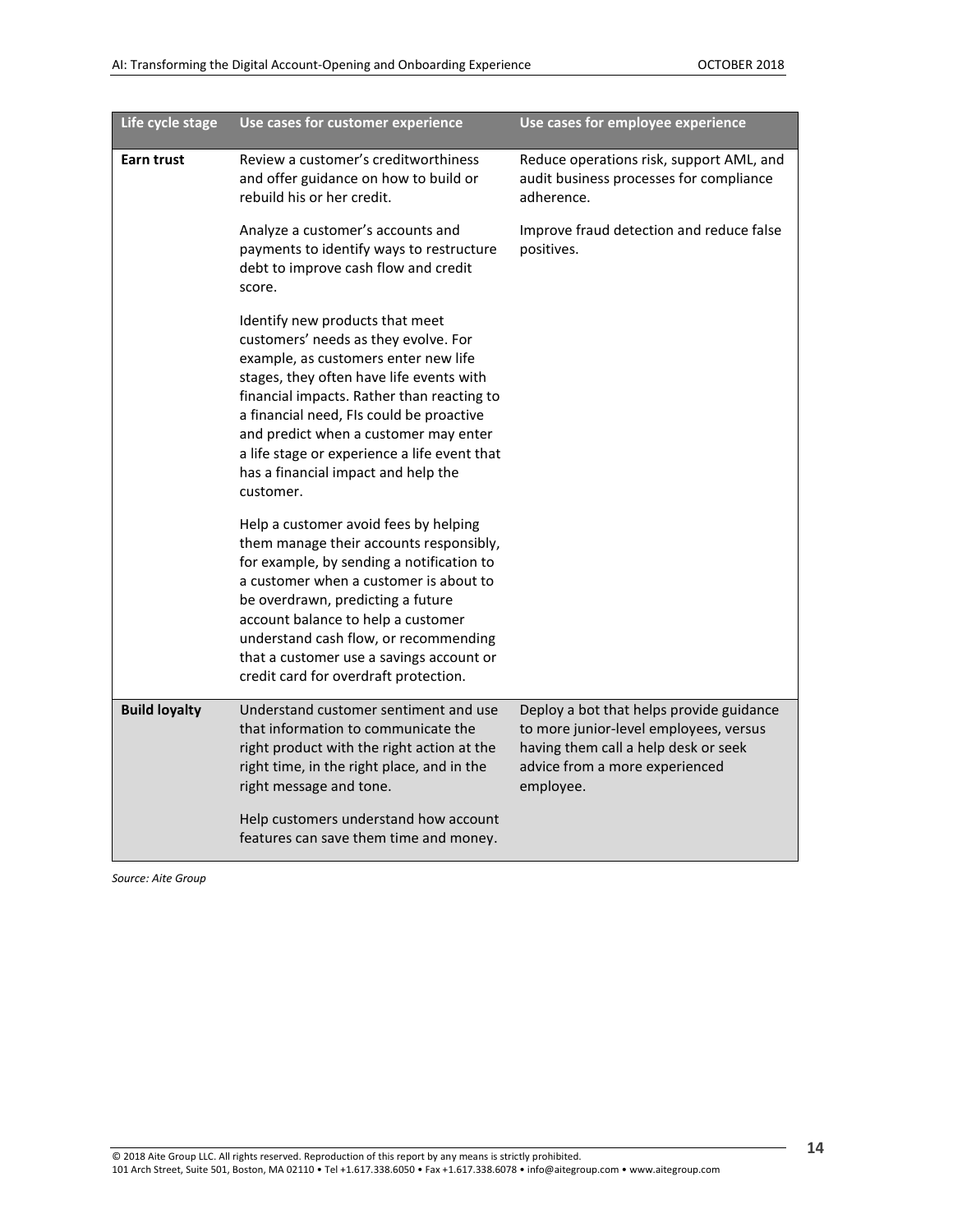| Life cycle stage     | Use cases for customer experience                                                                                                                                                                                                                                                                                                                                                                  | Use cases for employee experience                                                                                                                                         |
|----------------------|----------------------------------------------------------------------------------------------------------------------------------------------------------------------------------------------------------------------------------------------------------------------------------------------------------------------------------------------------------------------------------------------------|---------------------------------------------------------------------------------------------------------------------------------------------------------------------------|
| <b>Earn trust</b>    | Review a customer's creditworthiness<br>and offer guidance on how to build or<br>rebuild his or her credit.                                                                                                                                                                                                                                                                                        | Reduce operations risk, support AML, and<br>audit business processes for compliance<br>adherence.                                                                         |
|                      | Analyze a customer's accounts and<br>payments to identify ways to restructure<br>debt to improve cash flow and credit<br>score.                                                                                                                                                                                                                                                                    | Improve fraud detection and reduce false<br>positives.                                                                                                                    |
|                      | Identify new products that meet<br>customers' needs as they evolve. For<br>example, as customers enter new life<br>stages, they often have life events with<br>financial impacts. Rather than reacting to<br>a financial need, FIs could be proactive<br>and predict when a customer may enter<br>a life stage or experience a life event that<br>has a financial impact and help the<br>customer. |                                                                                                                                                                           |
|                      | Help a customer avoid fees by helping<br>them manage their accounts responsibly,<br>for example, by sending a notification to<br>a customer when a customer is about to<br>be overdrawn, predicting a future<br>account balance to help a customer<br>understand cash flow, or recommending<br>that a customer use a savings account or<br>credit card for overdraft protection.                   |                                                                                                                                                                           |
| <b>Build loyalty</b> | Understand customer sentiment and use<br>that information to communicate the<br>right product with the right action at the<br>right time, in the right place, and in the<br>right message and tone.                                                                                                                                                                                                | Deploy a bot that helps provide guidance<br>to more junior-level employees, versus<br>having them call a help desk or seek<br>advice from a more experienced<br>employee. |
|                      | Help customers understand how account<br>features can save them time and money.                                                                                                                                                                                                                                                                                                                    |                                                                                                                                                                           |

*Source: Aite Group*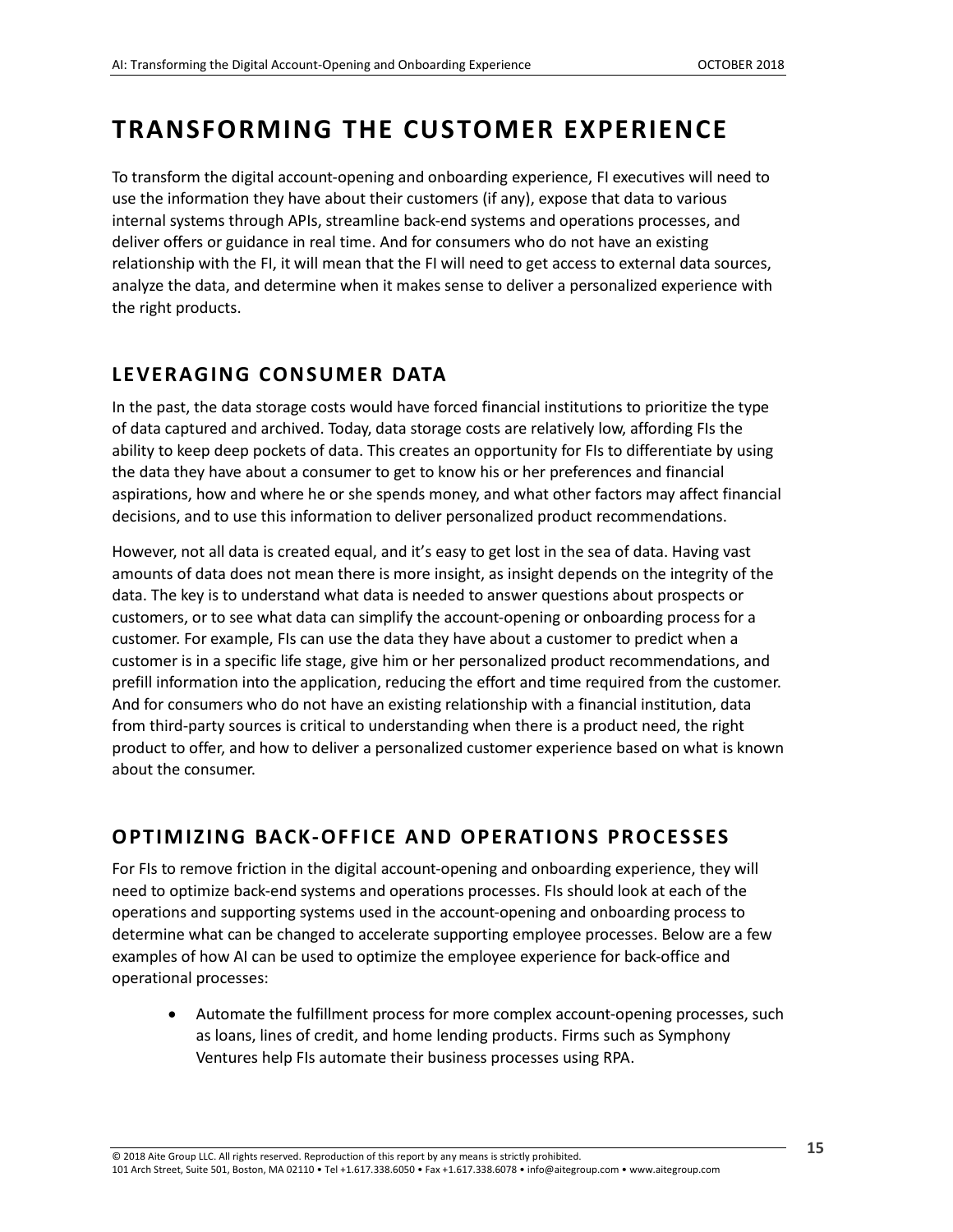### <span id="page-14-0"></span>**TRANSFORMING THE CUSTOMER EXPERIENCE**

To transform the digital account-opening and onboarding experience, FI executives will need to use the information they have about their customers (if any), expose that data to various internal systems through APIs, streamline back-end systems and operations processes, and deliver offers or guidance in real time. And for consumers who do not have an existing relationship with the FI, it will mean that the FI will need to get access to external data sources, analyze the data, and determine when it makes sense to deliver a personalized experience with the right products.

### <span id="page-14-1"></span>LEVERAGING CONSUMER DATA

In the past, the data storage costs would have forced financial institutions to prioritize the type of data captured and archived. Today, data storage costs are relatively low, affording FIs the ability to keep deep pockets of data. This creates an opportunity for FIs to differentiate by using the data they have about a consumer to get to know his or her preferences and financial aspirations, how and where he or she spends money, and what other factors may affect financial decisions, and to use this information to deliver personalized product recommendations.

However, not all data is created equal, and it's easy to get lost in the sea of data. Having vast amounts of data does not mean there is more insight, as insight depends on the integrity of the data. The key is to understand what data is needed to answer questions about prospects or customers, or to see what data can simplify the account-opening or onboarding process for a customer. For example, FIs can use the data they have about a customer to predict when a customer is in a specific life stage, give him or her personalized product recommendations, and prefill information into the application, reducing the effort and time required from the customer. And for consumers who do not have an existing relationship with a financial institution, data from third-party sources is critical to understanding when there is a product need, the right product to offer, and how to deliver a personalized customer experience based on what is known about the consumer.

### <span id="page-14-2"></span>**OPTIMIZING BACK-OFFICE AND OPERATIONS PROCESSES**

For FIs to remove friction in the digital account-opening and onboarding experience, they will need to optimize back-end systems and operations processes. FIs should look at each of the operations and supporting systems used in the account-opening and onboarding process to determine what can be changed to accelerate supporting employee processes. Below are a few examples of how AI can be used to optimize the employee experience for back-office and operational processes:

• Automate the fulfillment process for more complex account-opening processes, such as loans, lines of credit, and home lending products. Firms such as Symphony Ventures help FIs automate their business processes using RPA.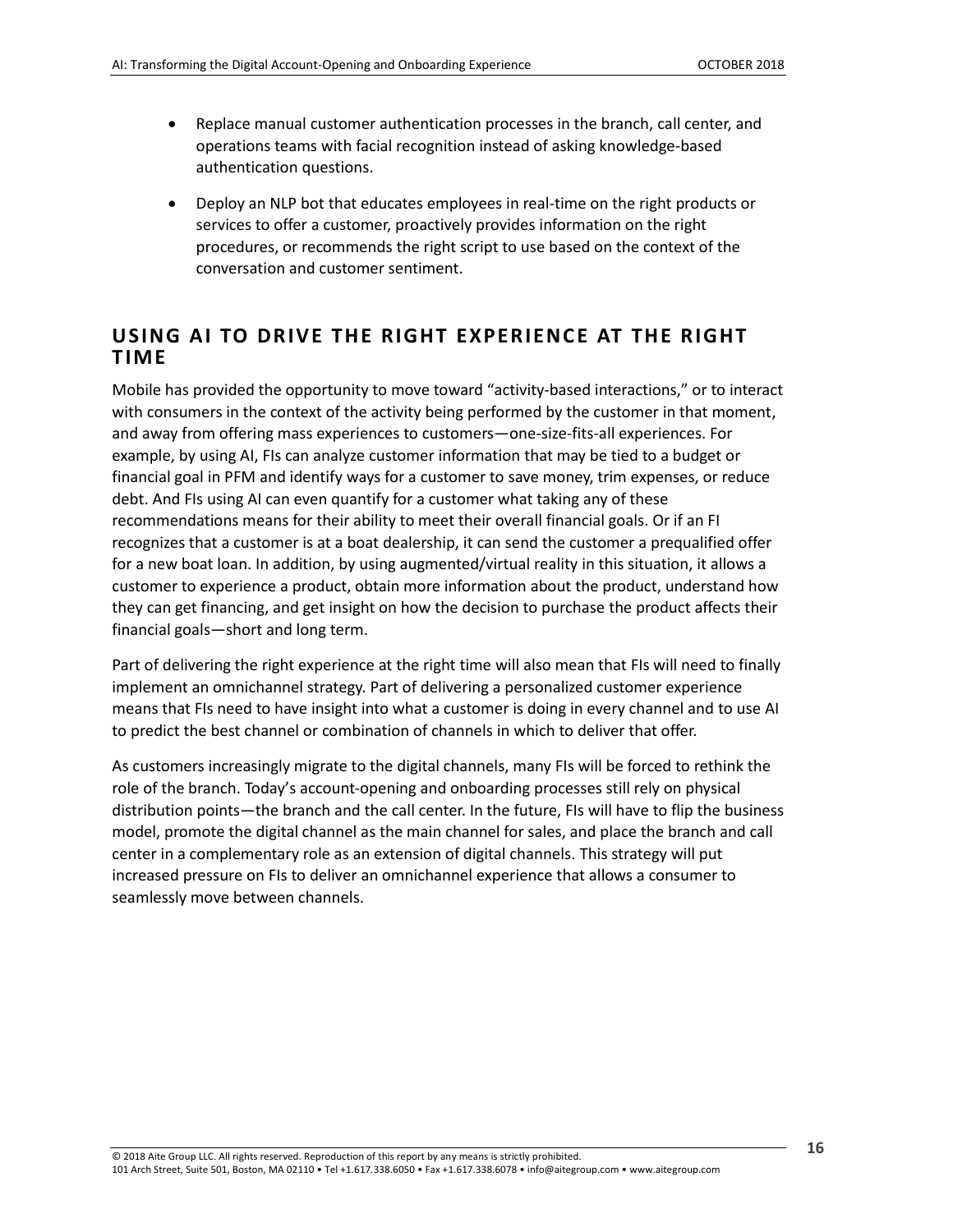- Replace manual customer authentication processes in the branch, call center, and operations teams with facial recognition instead of asking knowledge-based authentication questions.
- Deploy an NLP bot that educates employees in real-time on the right products or services to offer a customer, proactively provides information on the right procedures, or recommends the right script to use based on the context of the conversation and customer sentiment.

### <span id="page-15-0"></span>**USING AI TO DRIVE THE RIGHT EXPERIENCE AT THE RIGHT TIME**

Mobile has provided the opportunity to move toward "activity-based interactions," or to interact with consumers in the context of the activity being performed by the customer in that moment, and away from offering mass experiences to customers—one-size-fits-all experiences. For example, by using AI, FIs can analyze customer information that may be tied to a budget or financial goal in PFM and identify ways for a customer to save money, trim expenses, or reduce debt. And FIs using AI can even quantify for a customer what taking any of these recommendations means for their ability to meet their overall financial goals. Or if an FI recognizes that a customer is at a boat dealership, it can send the customer a prequalified offer for a new boat loan. In addition, by using augmented/virtual reality in this situation, it allows a customer to experience a product, obtain more information about the product, understand how they can get financing, and get insight on how the decision to purchase the product affects their financial goals—short and long term.

Part of delivering the right experience at the right time will also mean that FIs will need to finally implement an omnichannel strategy. Part of delivering a personalized customer experience means that FIs need to have insight into what a customer is doing in every channel and to use AI to predict the best channel or combination of channels in which to deliver that offer.

As customers increasingly migrate to the digital channels, many FIs will be forced to rethink the role of the branch. Today's account-opening and onboarding processes still rely on physical distribution points—the branch and the call center. In the future, FIs will have to flip the business model, promote the digital channel as the main channel for sales, and place the branch and call center in a complementary role as an extension of digital channels. This strategy will put increased pressure on FIs to deliver an omnichannel experience that allows a consumer to seamlessly move between channels.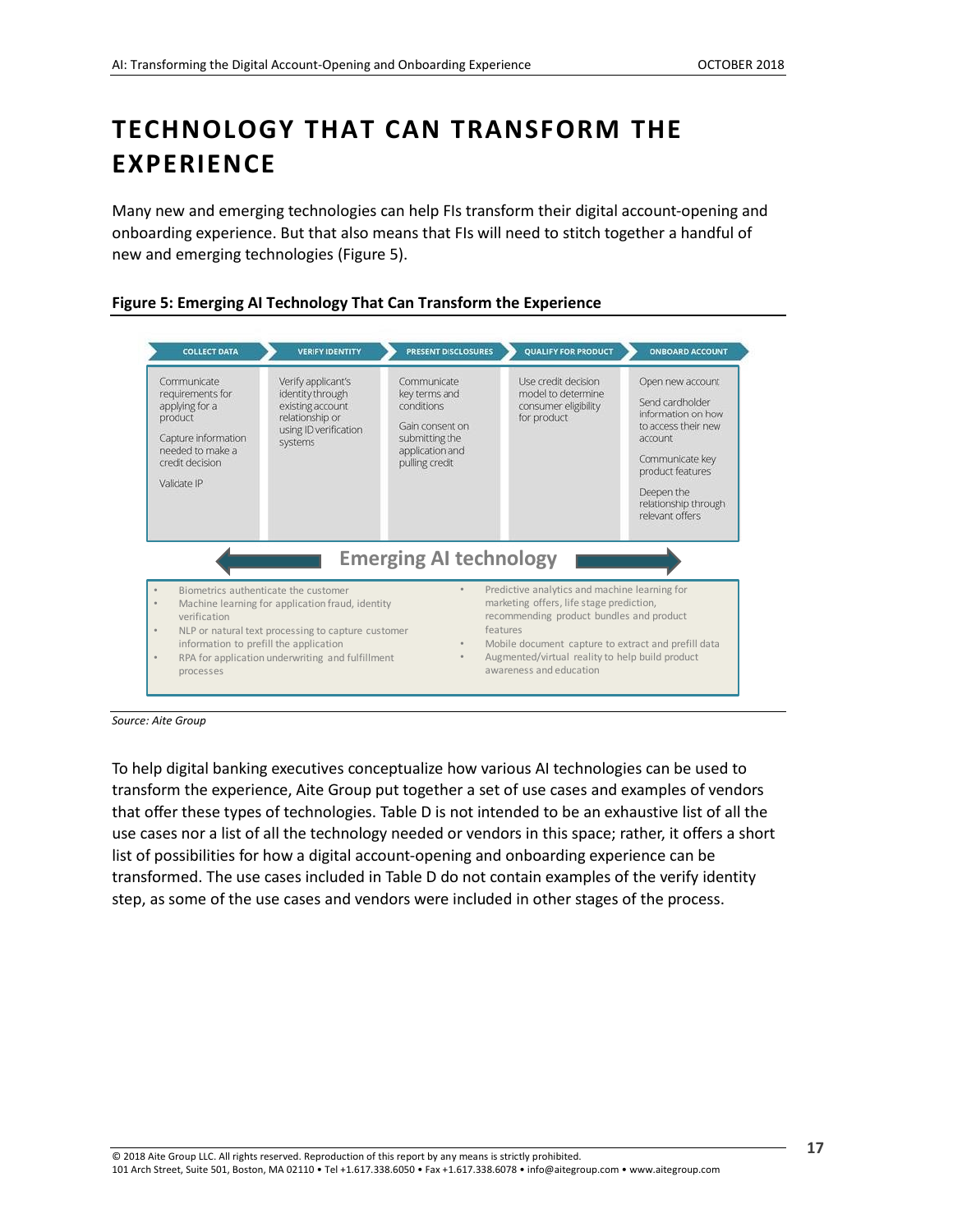# <span id="page-16-0"></span>**TECHNOLOGY THAT CAN TRANSFORM THE EXPERIENCE**

Many new and emerging technologies can help FIs transform their digital account-opening and onboarding experience. But that also means that FIs will need to stitch together a handful of new and emerging technologies (Figure 5).



<span id="page-16-1"></span>**Figure 5: Emerging AI Technology That Can Transform the Experience**

*Source: Aite Group*

To help digital banking executives conceptualize how various AI technologies can be used to transform the experience, Aite Group put together a set of use cases and examples of vendors that offer these types of technologies. Table D is not intended to be an exhaustive list of all the use cases nor a list of all the technology needed or vendors in this space; rather, it offers a short list of possibilities for how a digital account-opening and onboarding experience can be transformed. The use cases included in Table D do not contain examples of the verify identity step, as some of the use cases and vendors were included in other stages of the process.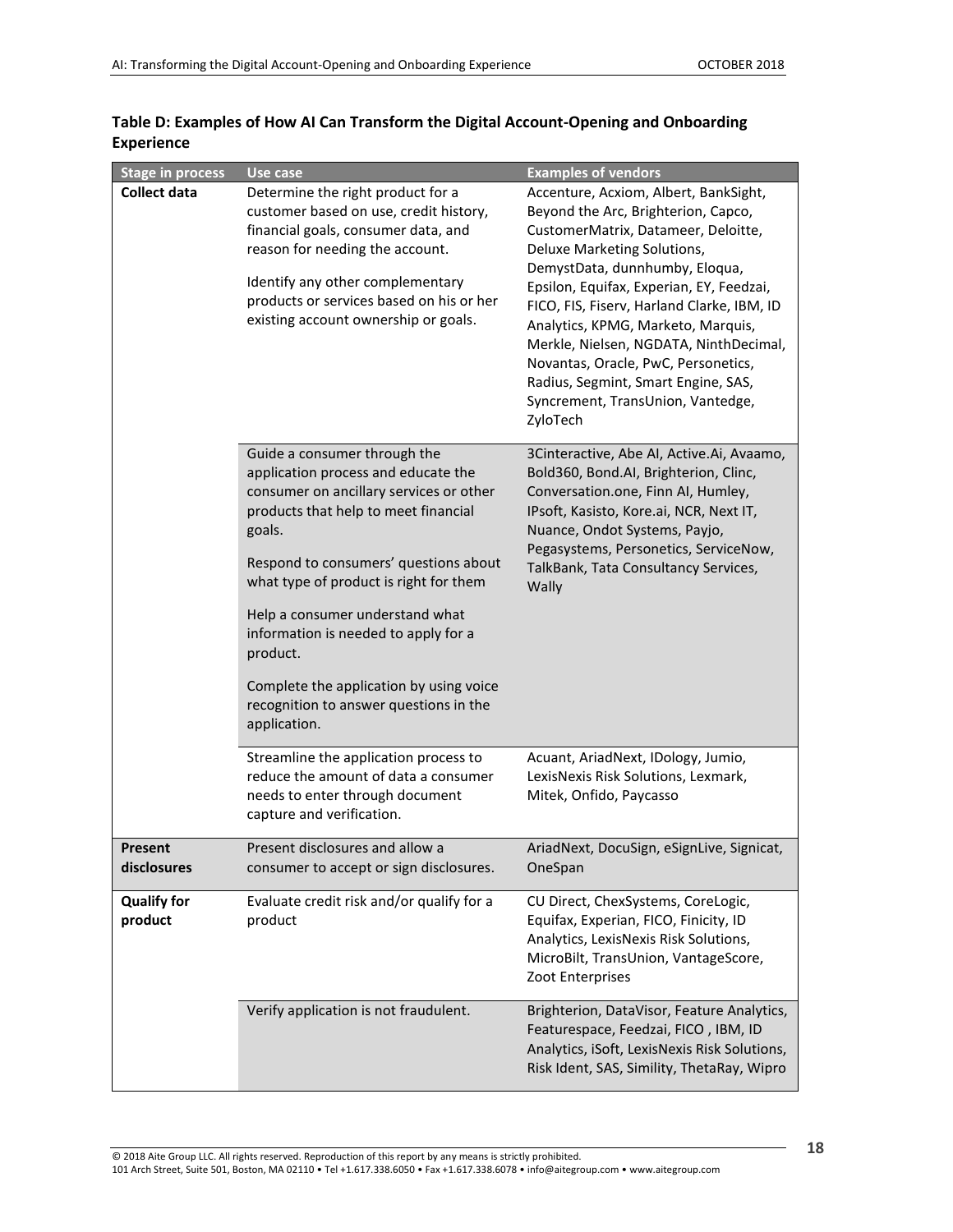| <b>Stage in process</b> | Use case                                                                                                                                                                                                                                                                                                                                                                                                                                        | <b>Examples of vendors</b>                                                                                                                                                                                                                                                                                                                                                                                                                                                                    |
|-------------------------|-------------------------------------------------------------------------------------------------------------------------------------------------------------------------------------------------------------------------------------------------------------------------------------------------------------------------------------------------------------------------------------------------------------------------------------------------|-----------------------------------------------------------------------------------------------------------------------------------------------------------------------------------------------------------------------------------------------------------------------------------------------------------------------------------------------------------------------------------------------------------------------------------------------------------------------------------------------|
| <b>Collect data</b>     | Determine the right product for a<br>customer based on use, credit history,<br>financial goals, consumer data, and<br>reason for needing the account.<br>Identify any other complementary<br>products or services based on his or her<br>existing account ownership or goals.                                                                                                                                                                   | Accenture, Acxiom, Albert, BankSight,<br>Beyond the Arc, Brighterion, Capco,<br>CustomerMatrix, Datameer, Deloitte,<br>Deluxe Marketing Solutions,<br>DemystData, dunnhumby, Eloqua,<br>Epsilon, Equifax, Experian, EY, Feedzai,<br>FICO, FIS, Fiserv, Harland Clarke, IBM, ID<br>Analytics, KPMG, Marketo, Marquis,<br>Merkle, Nielsen, NGDATA, NinthDecimal,<br>Novantas, Oracle, PwC, Personetics,<br>Radius, Segmint, Smart Engine, SAS,<br>Syncrement, TransUnion, Vantedge,<br>ZyloTech |
|                         | Guide a consumer through the<br>application process and educate the<br>consumer on ancillary services or other<br>products that help to meet financial<br>goals.<br>Respond to consumers' questions about<br>what type of product is right for them<br>Help a consumer understand what<br>information is needed to apply for a<br>product.<br>Complete the application by using voice<br>recognition to answer questions in the<br>application. | 3Cinteractive, Abe AI, Active.Ai, Avaamo,<br>Bold360, Bond.AI, Brighterion, Clinc,<br>Conversation.one, Finn AI, Humley,<br>IPsoft, Kasisto, Kore.ai, NCR, Next IT,<br>Nuance, Ondot Systems, Payjo,<br>Pegasystems, Personetics, ServiceNow,<br>TalkBank, Tata Consultancy Services,<br>Wally                                                                                                                                                                                                |
|                         | Streamline the application process to<br>reduce the amount of data a consumer<br>needs to enter through document<br>capture and verification.                                                                                                                                                                                                                                                                                                   | Acuant, AriadNext, IDology, Jumio,<br>LexisNexis Risk Solutions, Lexmark,<br>Mitek, Onfido, Paycasso                                                                                                                                                                                                                                                                                                                                                                                          |
| <b>Present</b>          | Present disclosures and allow a                                                                                                                                                                                                                                                                                                                                                                                                                 | AriadNext, DocuSign, eSignLive, Signicat,                                                                                                                                                                                                                                                                                                                                                                                                                                                     |
| disclosures             | consumer to accept or sign disclosures.                                                                                                                                                                                                                                                                                                                                                                                                         | OneSpan                                                                                                                                                                                                                                                                                                                                                                                                                                                                                       |
| <b>Qualify for</b>      | Evaluate credit risk and/or qualify for a                                                                                                                                                                                                                                                                                                                                                                                                       | CU Direct, ChexSystems, CoreLogic,                                                                                                                                                                                                                                                                                                                                                                                                                                                            |
| product                 | product                                                                                                                                                                                                                                                                                                                                                                                                                                         | Equifax, Experian, FICO, Finicity, ID<br>Analytics, LexisNexis Risk Solutions,<br>MicroBilt, TransUnion, VantageScore,<br>Zoot Enterprises                                                                                                                                                                                                                                                                                                                                                    |
|                         | Verify application is not fraudulent.                                                                                                                                                                                                                                                                                                                                                                                                           | Brighterion, DataVisor, Feature Analytics,<br>Featurespace, Feedzai, FICO, IBM, ID<br>Analytics, iSoft, LexisNexis Risk Solutions,<br>Risk Ident, SAS, Simility, ThetaRay, Wipro                                                                                                                                                                                                                                                                                                              |

<span id="page-17-0"></span>

| Table D: Examples of How AI Can Transform the Digital Account-Opening and Onboarding |  |
|--------------------------------------------------------------------------------------|--|
| <b>Experience</b>                                                                    |  |

a l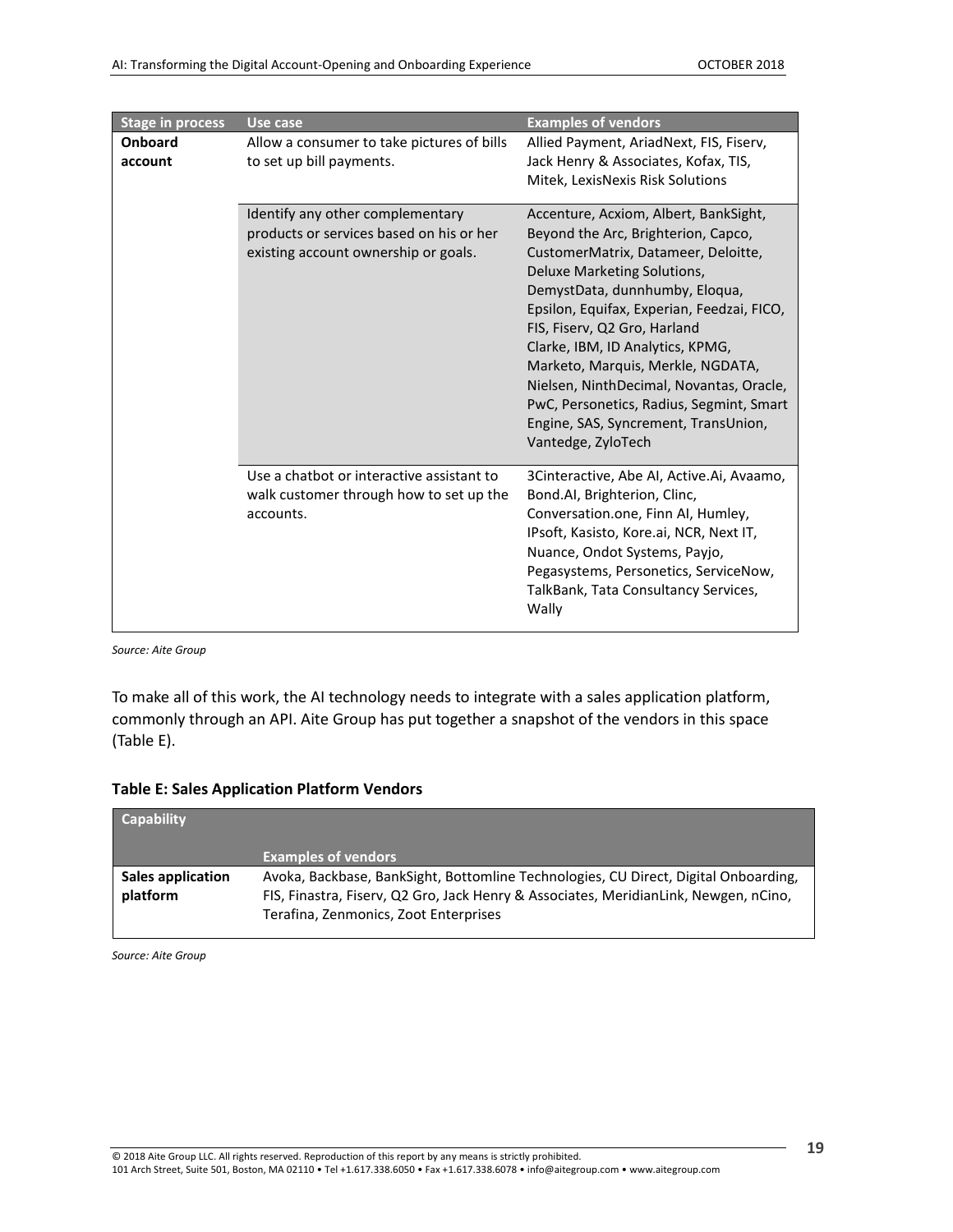| <b>Stage in process</b> | Use case                                                                                                             | <b>Examples of vendors</b>                                                                                                                                                                                                                                                                                                                                                                                                                                                                        |
|-------------------------|----------------------------------------------------------------------------------------------------------------------|---------------------------------------------------------------------------------------------------------------------------------------------------------------------------------------------------------------------------------------------------------------------------------------------------------------------------------------------------------------------------------------------------------------------------------------------------------------------------------------------------|
| Onboard<br>account      | Allow a consumer to take pictures of bills<br>to set up bill payments.                                               | Allied Payment, AriadNext, FIS, Fiserv,<br>Jack Henry & Associates, Kofax, TIS,<br>Mitek, LexisNexis Risk Solutions                                                                                                                                                                                                                                                                                                                                                                               |
|                         | Identify any other complementary<br>products or services based on his or her<br>existing account ownership or goals. | Accenture, Acxiom, Albert, BankSight,<br>Beyond the Arc, Brighterion, Capco,<br>CustomerMatrix, Datameer, Deloitte,<br>Deluxe Marketing Solutions,<br>DemystData, dunnhumby, Eloqua,<br>Epsilon, Equifax, Experian, Feedzai, FICO,<br>FIS, Fiserv, Q2 Gro, Harland<br>Clarke, IBM, ID Analytics, KPMG,<br>Marketo, Marquis, Merkle, NGDATA,<br>Nielsen, NinthDecimal, Novantas, Oracle,<br>PwC, Personetics, Radius, Segmint, Smart<br>Engine, SAS, Syncrement, TransUnion,<br>Vantedge, ZyloTech |
|                         | Use a chatbot or interactive assistant to<br>walk customer through how to set up the<br>accounts.                    | 3Cinteractive, Abe AI, Active.Ai, Avaamo,<br>Bond.AI, Brighterion, Clinc,<br>Conversation.one, Finn AI, Humley,<br>IPsoft, Kasisto, Kore.ai, NCR, Next IT,<br>Nuance, Ondot Systems, Payjo,<br>Pegasystems, Personetics, ServiceNow,<br>TalkBank, Tata Consultancy Services,<br>Wally                                                                                                                                                                                                             |

*Source: Aite Group*

To make all of this work, the AI technology needs to integrate with a sales application platform, commonly through an API. Aite Group has put together a snapshot of the vendors in this space (Table E).

<span id="page-18-0"></span>

| <b>Table E: Sales Application Platform Vendors</b> |  |  |  |
|----------------------------------------------------|--|--|--|
|----------------------------------------------------|--|--|--|

| <b>Capability</b>             |                                                                                                                                                                                                                      |
|-------------------------------|----------------------------------------------------------------------------------------------------------------------------------------------------------------------------------------------------------------------|
|                               | <b>Examples of vendors</b>                                                                                                                                                                                           |
| Sales application<br>platform | Avoka, Backbase, BankSight, Bottomline Technologies, CU Direct, Digital Onboarding,<br>FIS, Finastra, Fisery, Q2 Gro, Jack Henry & Associates, MeridianLink, Newgen, nCino,<br>Terafina, Zenmonics, Zoot Enterprises |

*Source: Aite Group*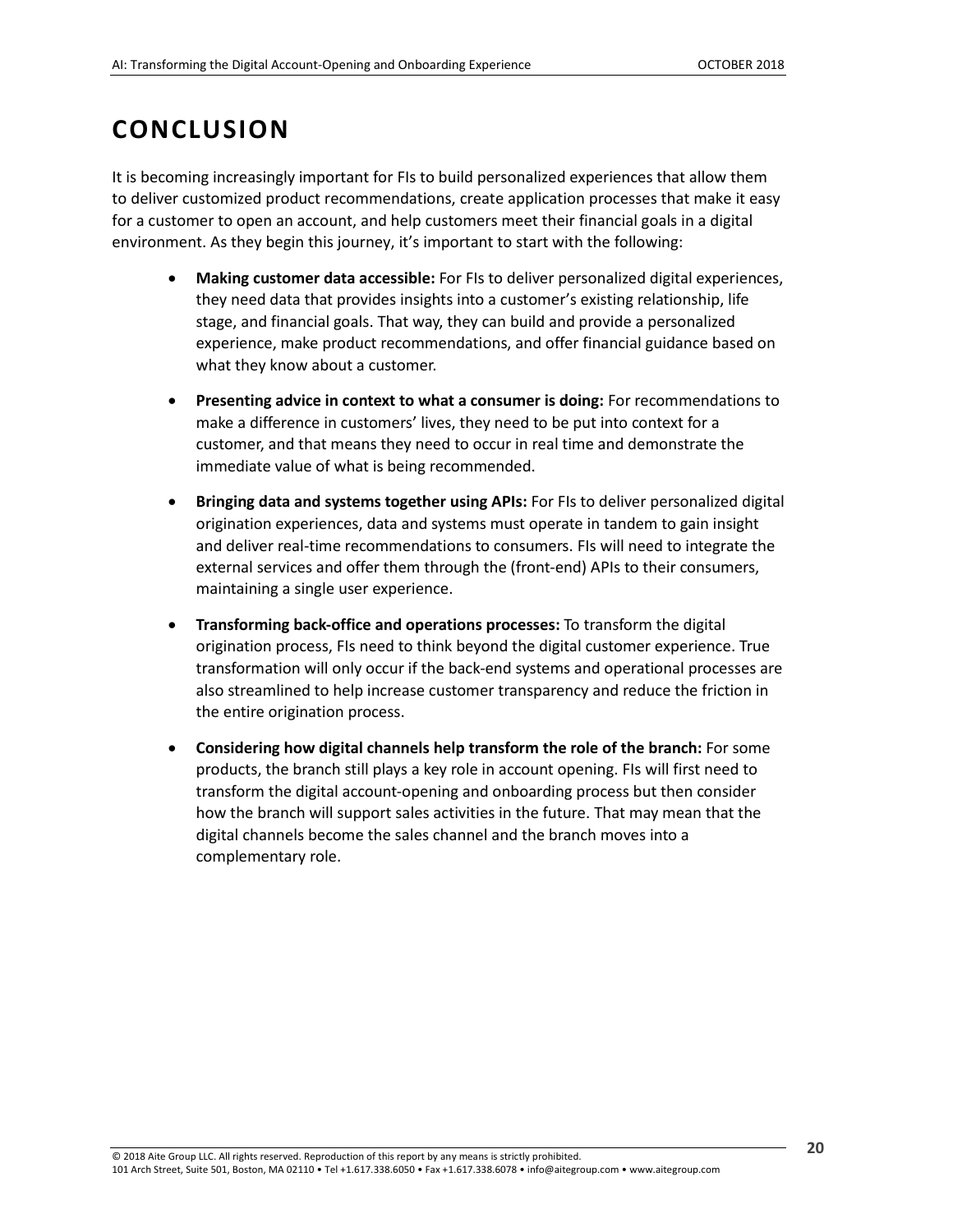## <span id="page-19-0"></span>**CONCLUSION**

It is becoming increasingly important for FIs to build personalized experiences that allow them to deliver customized product recommendations, create application processes that make it easy for a customer to open an account, and help customers meet their financial goals in a digital environment. As they begin this journey, it's important to start with the following:

- **Making customer data accessible:** For FIs to deliver personalized digital experiences, they need data that provides insights into a customer's existing relationship, life stage, and financial goals. That way, they can build and provide a personalized experience, make product recommendations, and offer financial guidance based on what they know about a customer.
- **Presenting advice in context to what a consumer is doing:** For recommendations to make a difference in customers' lives, they need to be put into context for a customer, and that means they need to occur in real time and demonstrate the immediate value of what is being recommended.
- **Bringing data and systems together using APIs:** For FIs to deliver personalized digital origination experiences, data and systems must operate in tandem to gain insight and deliver real-time recommendations to consumers. FIs will need to integrate the external services and offer them through the (front-end) APIs to their consumers, maintaining a single user experience.
- **Transforming back-office and operations processes:** To transform the digital origination process, FIs need to think beyond the digital customer experience. True transformation will only occur if the back-end systems and operational processes are also streamlined to help increase customer transparency and reduce the friction in the entire origination process.
- **Considering how digital channels help transform the role of the branch:** For some products, the branch still plays a key role in account opening. FIs will first need to transform the digital account-opening and onboarding process but then consider how the branch will support sales activities in the future. That may mean that the digital channels become the sales channel and the branch moves into a complementary role.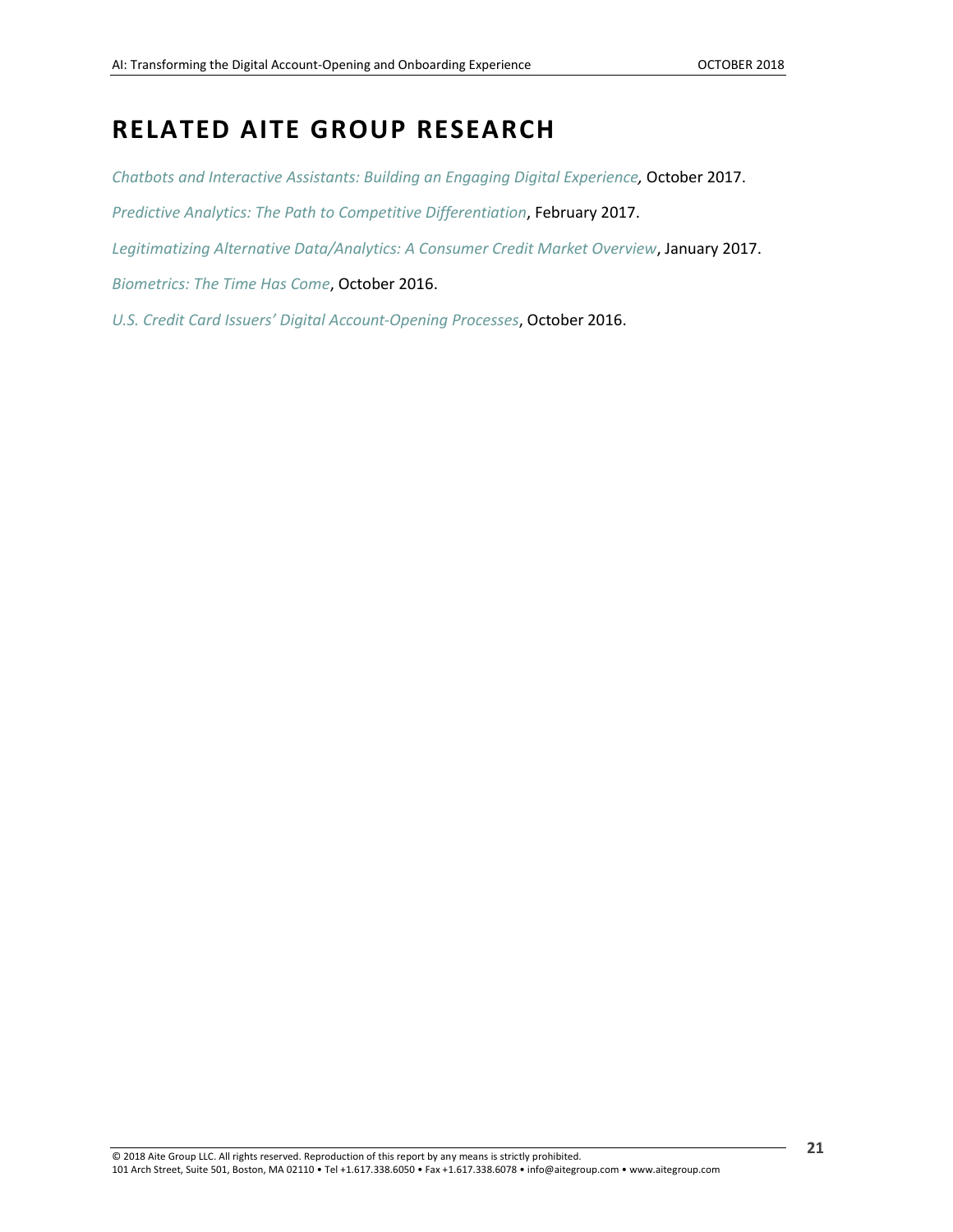### <span id="page-20-0"></span>**RELATED AITE GROUP RESEARCH**

*[Chatbots and Interactive Assistants: Building an Engaging Digital Experience,](https://www.aitegroup.com/report/chatbots-and-interactive-assistants-building-engaging-digital-experience)* October 2017. *[Predictive Analytics: The Path to Competitive Differentiation](https://www.aitegroup.com/report/predictive-analytics-path-competitive-differentiation)*, February 2017. *[Legitimatizing Alternative Data/Analytics: A Consumer Credit Market Overview](http://aitegroup.com/report/legitimatizing-alternative-dataanalytics-consumer-credit-market-overview)*, January 2017. *[Biometrics: The Time Has Come](https://aitegroup.com/report/biometrics-time-has-come)*, October 2016. *[U.S. Credit Card Issuers' Digital Account-Opening Processes](http://aitegroup.com/report/us-credit-card-issuers%E2%80%99-digital-account-opening-processes)*, October 2016.